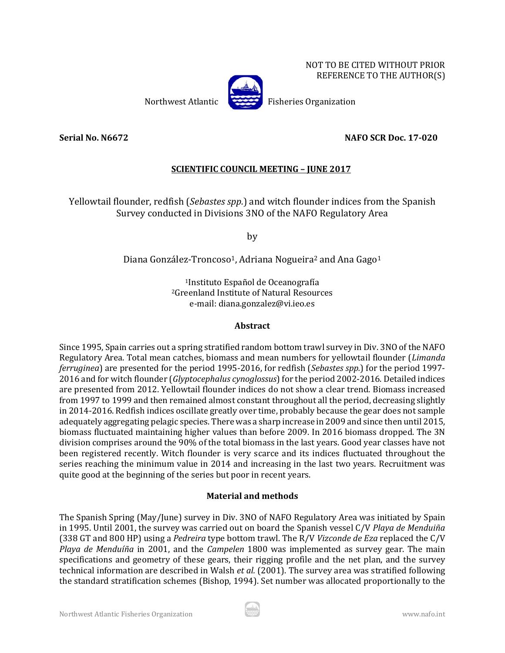NOT TO BE CITED WITHOUT PRIOR REFERENCE TO THE AUTHOR(S)



Northwest Atlantic Fisheries Organization

## **Serial No. N6672 NAFO SCR Doc. 17-020**

## **SCIENTIFIC COUNCIL MEETING – JUNE 2017**

Yellowtail flounder, redfish (*Sebastes spp.*) and witch flounder indices from the Spanish Survey conducted in Divisions 3NO of the NAFO Regulatory Area

by

Diana González-Troncoso<sup>1</sup>, Adriana Nogueira<sup>2</sup> and Ana Gago<sup>1</sup>

1Instituto Español de Oceanografía 2Greenland Institute of Natural Resources e-mail: diana.gonzalez@vi.ieo.es

#### **Abstract**

Since 1995, Spain carries out a spring stratified random bottom trawl survey in Div. 3NO of the NAFO Regulatory Area. Total mean catches, biomass and mean numbers for yellowtail flounder (*Limanda ferruginea*) are presented for the period 1995-2016, for redfish (*Sebastes spp.*) for the period 1997- 2016 and for witch flounder (*Glyptocephalus cynoglossus*) for the period 2002-2016. Detailed indices are presented from 2012. Yellowtail flounder indices do not show a clear trend. Biomass increased from 1997 to 1999 and then remained almost constant throughout all the period, decreasing slightly in 2014-2016. Redfish indices oscillate greatly over time, probably because the gear does not sample adequately aggregating pelagic species. There was a sharp increase in 2009 and since then until 2015, biomass fluctuated maintaining higher values than before 2009. In 2016 biomass dropped. The 3N division comprises around the 90% of the total biomass in the last years. Good year classes have not been registered recently. Witch flounder is very scarce and its indices fluctuated throughout the series reaching the minimum value in 2014 and increasing in the last two years. Recruitment was quite good at the beginning of the series but poor in recent years.

### **Material and methods**

The Spanish Spring (May/June) survey in Div. 3NO of NAFO Regulatory Area was initiated by Spain in 1995. Until 2001, the survey was carried out on board the Spanish vessel C/V *Playa de Menduiña* (338 GT and 800 HP) using a *Pedreira* type bottom trawl. The R/V *Vizconde de Eza* replaced the C/V *Playa de Menduíña* in 2001, and the *Campelen* 1800 was implemented as survey gear. The main specifications and geometry of these gears, their rigging profile and the net plan, and the survey technical information are described in Walsh *et al.* (2001). The survey area was stratified following the standard stratification schemes (Bishop, 1994). Set number was allocated proportionally to the

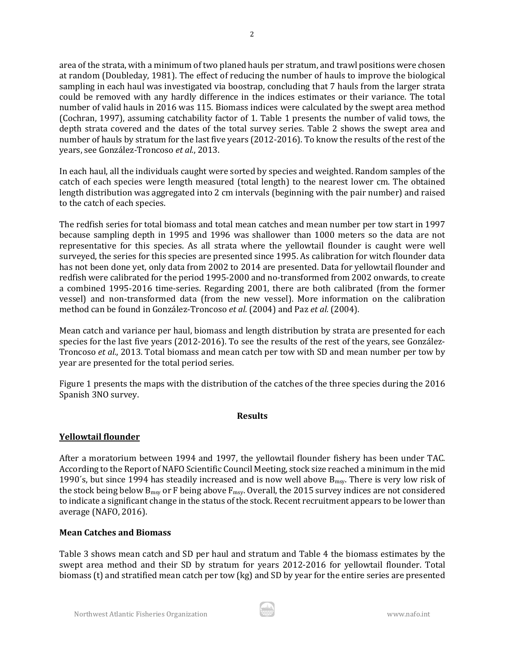area of the strata, with a minimum of two planed hauls per stratum, and trawl positions were chosen at random (Doubleday, 1981). The effect of reducing the number of hauls to improve the biological sampling in each haul was investigated via boostrap, concluding that 7 hauls from the larger strata could be removed with any hardly difference in the indices estimates or their variance. The total number of valid hauls in 2016 was 115. Biomass indices were calculated by the swept area method (Cochran, 1997), assuming catchability factor of 1. Table 1 presents the number of valid tows, the depth strata covered and the dates of the total survey series. Table 2 shows the swept area and number of hauls by stratum for the last five years (2012-2016). To know the results of the rest of the years, see González-Troncoso *et al.*, 2013.

In each haul, all the individuals caught were sorted by species and weighted. Random samples of the catch of each species were length measured (total length) to the nearest lower cm. The obtained length distribution was aggregated into 2 cm intervals (beginning with the pair number) and raised to the catch of each species.

The redfish series for total biomass and total mean catches and mean number per tow start in 1997 because sampling depth in 1995 and 1996 was shallower than 1000 meters so the data are not representative for this species. As all strata where the yellowtail flounder is caught were well surveyed, the series for this species are presented since 1995. As calibration for witch flounder data has not been done yet, only data from 2002 to 2014 are presented. Data for yellowtail flounder and redfish were calibrated for the period 1995-2000 and no-transformed from 2002 onwards, to create a combined 1995-2016 time-series. Regarding 2001, there are both calibrated (from the former vessel) and non-transformed data (from the new vessel). More information on the calibration method can be found in González-Troncoso *et al.* (2004) and Paz *et al.* (2004).

Mean catch and variance per haul, biomass and length distribution by strata are presented for each species for the last five years (2012-2016). To see the results of the rest of the years, see González-Troncoso *et al.*, 2013. Total biomass and mean catch per tow with SD and mean number per tow by year are presented for the total period series.

Figure 1 presents the maps with the distribution of the catches of the three species during the 2016 Spanish 3NO survey.

### **Results**

# **Yellowtail flounder**

After a moratorium between 1994 and 1997, the yellowtail flounder fishery has been under TAC. According to the Report of NAFO Scientific Council Meeting, stock size reached a minimum in the mid 1990's, but since 1994 has steadily increased and is now well above  $B_{msy}$ . There is very low risk of the stock being below  $B_{msy}$  or F being above  $F_{msy}$ . Overall, the 2015 survey indices are not considered to indicate a significant change in the status of the stock. Recent recruitment appears to be lower than average (NAFO, 2016).

### **Mean Catches and Biomass**

Table 3 shows mean catch and SD per haul and stratum and Table 4 the biomass estimates by the swept area method and their SD by stratum for years 2012-2016 for yellowtail flounder. Total biomass (t) and stratified mean catch per tow (kg) and SD by year for the entire series are presented

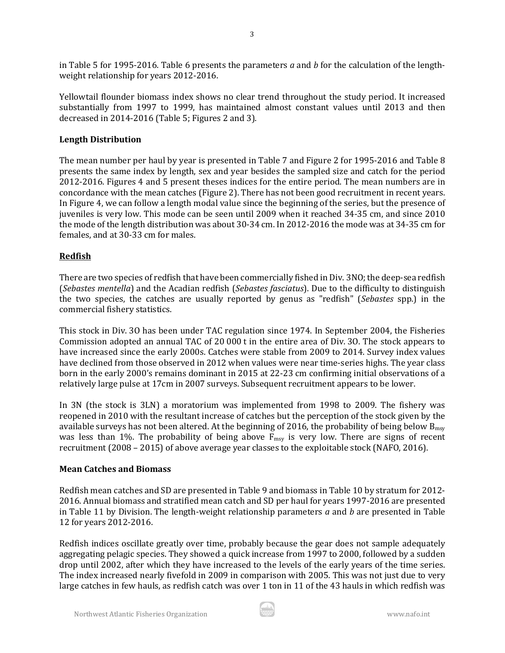in Table 5 for 1995-2016. Table 6 presents the parameters *a* and *b* for the calculation of the lengthweight relationship for years 2012-2016.

Yellowtail flounder biomass index shows no clear trend throughout the study period. It increased substantially from 1997 to 1999, has maintained almost constant values until 2013 and then decreased in 2014-2016 (Table 5; Figures 2 and 3).

#### **Length Distribution**

The mean number per haul by year is presented in Table 7 and Figure 2 for 1995-2016 and Table 8 presents the same index by length, sex and year besides the sampled size and catch for the period 2012-2016. Figures 4 and 5 present theses indices for the entire period. The mean numbers are in concordance with the mean catches (Figure 2). There has not been good recruitment in recent years. In Figure 4, we can follow a length modal value since the beginning of the series, but the presence of juveniles is very low. This mode can be seen until 2009 when it reached 34-35 cm, and since 2010 the mode of the length distribution was about 30-34 cm. In 2012-2016 the mode was at 34-35 cm for females, and at 30-33 cm for males.

### **Redfish**

There are two species of redfish that have been commercially fished in Div. 3NO; the deep-sea redfish (*Sebastes mentella*) and the Acadian redfish (*Sebastes fasciatus*). Due to the difficulty to distinguish the two species, the catches are usually reported by genus as "redfish" (*Sebastes* spp.) in the commercial fishery statistics.

This stock in Div. 3O has been under TAC regulation since 1974. In September 2004, the Fisheries Commission adopted an annual TAC of 20 000 t in the entire area of Div. 3O. The stock appears to have increased since the early 2000s. Catches were stable from 2009 to 2014. Survey index values have declined from those observed in 2012 when values were near time-series highs. The year class born in the early 2000's remains dominant in 2015 at 22-23 cm confirming initial observations of a relatively large pulse at 17cm in 2007 surveys. Subsequent recruitment appears to be lower.

In 3N (the stock is 3LN) a moratorium was implemented from 1998 to 2009. The fishery was reopened in 2010 with the resultant increase of catches but the perception of the stock given by the available surveys has not been altered. At the beginning of 2016, the probability of being below  $B<sub>msv</sub>$ was less than 1%. The probability of being above  $F_{\text{msy}}$  is very low. There are signs of recent recruitment (2008 – 2015) of above average year classes to the exploitable stock (NAFO, 2016).

#### **Mean Catches and Biomass**

Redfish mean catches and SD are presented in Table 9 and biomass in Table 10 by stratum for 2012- 2016. Annual biomass and stratified mean catch and SD per haul for years 1997-2016 are presented in Table 11 by Division. The length-weight relationship parameters *a* and *b* are presented in Table 12 for years 2012-2016.

Redfish indices oscillate greatly over time, probably because the gear does not sample adequately aggregating pelagic species. They showed a quick increase from 1997 to 2000, followed by a sudden drop until 2002, after which they have increased to the levels of the early years of the time series. The index increased nearly fivefold in 2009 in comparison with 2005. This was not just due to very large catches in few hauls, as redfish catch was over 1 ton in 11 of the 43 hauls in which redfish was

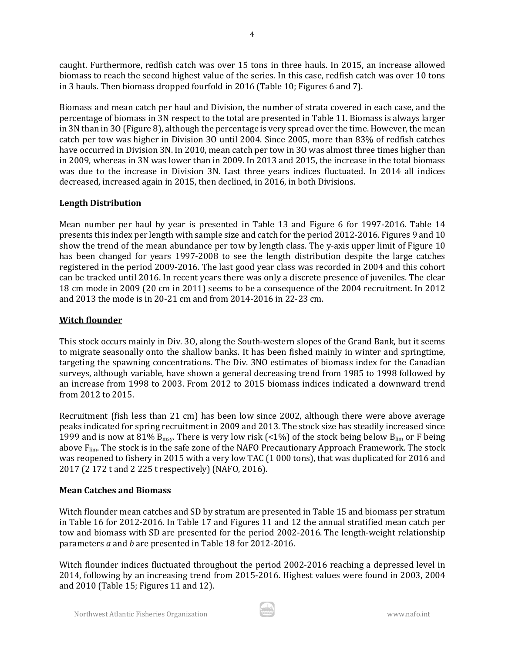caught. Furthermore, redfish catch was over 15 tons in three hauls. In 2015, an increase allowed biomass to reach the second highest value of the series. In this case, redfish catch was over 10 tons in 3 hauls. Then biomass dropped fourfold in 2016 (Table 10; Figures 6 and 7).

Biomass and mean catch per haul and Division, the number of strata covered in each case, and the percentage of biomass in 3N respect to the total are presented in Table 11. Biomass is always larger in 3N than in 3O (Figure 8), although the percentage is very spread over the time. However, the mean catch per tow was higher in Division 3O until 2004. Since 2005, more than 83% of redfish catches have occurred in Division 3N. In 2010, mean catch per tow in 3O was almost three times higher than in 2009, whereas in 3N was lower than in 2009. In 2013 and 2015, the increase in the total biomass was due to the increase in Division 3N. Last three years indices fluctuated. In 2014 all indices decreased, increased again in 2015, then declined, in 2016, in both Divisions.

## **Length Distribution**

Mean number per haul by year is presented in Table 13 and Figure 6 for 1997-2016. Table 14 presents this index per length with sample size and catch for the period 2012-2016. Figures 9 and 10 show the trend of the mean abundance per tow by length class. The y-axis upper limit of Figure 10 has been changed for years 1997-2008 to see the length distribution despite the large catches registered in the period 2009-2016. The last good year class was recorded in 2004 and this cohort can be tracked until 2016. In recent years there was only a discrete presence of juveniles. The clear 18 cm mode in 2009 (20 cm in 2011) seems to be a consequence of the 2004 recruitment. In 2012 and 2013 the mode is in 20-21 cm and from 2014-2016 in 22-23 cm.

## **Witch flounder**

This stock occurs mainly in Div. 3O, along the South-western slopes of the Grand Bank, but it seems to migrate seasonally onto the shallow banks. It has been fished mainly in winter and springtime, targeting the spawning concentrations. The Div. 3NO estimates of biomass index for the Canadian surveys, although variable, have shown a general decreasing trend from 1985 to 1998 followed by an increase from 1998 to 2003. From 2012 to 2015 biomass indices indicated a downward trend from 2012 to 2015.

Recruitment (fish less than 21 cm) has been low since 2002, although there were above average peaks indicated for spring recruitment in 2009 and 2013. The stock size has steadily increased since 1999 and is now at 81%  $B_{\text{msy}}$ . There is very low risk (<1%) of the stock being below  $B_{\text{lim}}$  or F being above F<sub>lim</sub>. The stock is in the safe zone of the NAFO Precautionary Approach Framework. The stock was reopened to fishery in 2015 with a very low TAC (1 000 tons), that was duplicated for 2016 and 2017 (2 172 t and 2 225 t respectively) (NAFO, 2016).

# **Mean Catches and Biomass**

Witch flounder mean catches and SD by stratum are presented in Table 15 and biomass per stratum in Table 16 for 2012-2016. In Table 17 and Figures 11 and 12 the annual stratified mean catch per tow and biomass with SD are presented for the period 2002-2016. The length-weight relationship parameters *a* and *b* are presented in Table 18 for 2012-2016.

Witch flounder indices fluctuated throughout the period 2002-2016 reaching a depressed level in 2014, following by an increasing trend from 2015-2016. Highest values were found in 2003, 2004 and 2010 (Table 15; Figures 11 and 12).

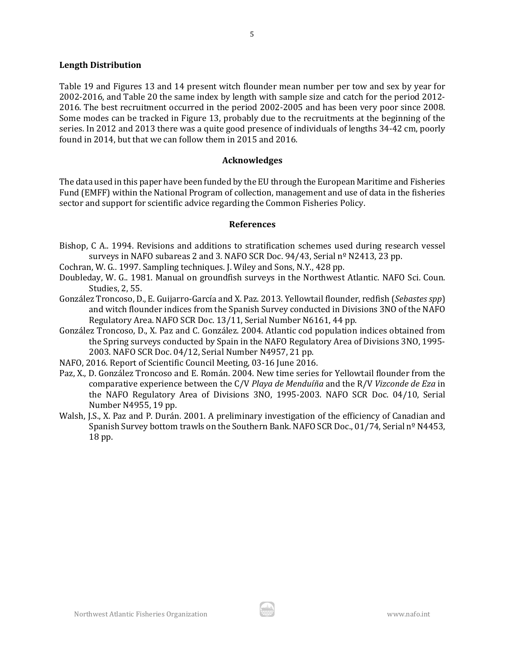#### **Length Distribution**

Table 19 and Figures 13 and 14 present witch flounder mean number per tow and sex by year for 2002-2016, and Table 20 the same index by length with sample size and catch for the period 2012- 2016. The best recruitment occurred in the period 2002-2005 and has been very poor since 2008. Some modes can be tracked in Figure 13, probably due to the recruitments at the beginning of the series. In 2012 and 2013 there was a quite good presence of individuals of lengths 34-42 cm, poorly found in 2014, but that we can follow them in 2015 and 2016.

#### **Acknowledges**

The data used in this paper have been funded by the EU through the European Maritime and Fisheries Fund (EMFF) within the National Program of collection, management and use of data in the fisheries sector and support for scientific advice regarding the Common Fisheries Policy.

#### **References**

- Bishop, C A.. 1994. Revisions and additions to stratification schemes used during research vessel surveys in NAFO subareas 2 and 3*.* NAFO SCR Doc. 94/43, Serial nº N2413, 23 pp.
- Cochran, W. G.. 1997. Sampling techniques. J. Wiley and Sons, N.Y., 428 pp.
- Doubleday, W. G.. 1981. Manual on groundfish surveys in the Northwest Atlantic. NAFO Sci. Coun. Studies, 2, 55.
- González Troncoso, D., E. Guijarro-García and X. Paz. 2013. Yellowtail flounder, redfish (*Sebastes spp*) and witch flounder indices from the Spanish Survey conducted in Divisions 3NO of the NAFO Regulatory Area. NAFO SCR Doc. 13/11, Serial Number N6161, 44 pp.
- González Troncoso, D., X. Paz and C. González. 2004. Atlantic cod population indices obtained from the Spring surveys conducted by Spain in the NAFO Regulatory Area of Divisions 3NO, 1995- 2003. NAFO SCR Doc. 04/12, Serial Number N4957, 21 pp.
- NAFO, 2016. Report of Scientific Council Meeting, 03-16 June 2016.
- Paz, X., D. González Troncoso and E. Román. 2004. New time series for Yellowtail flounder from the comparative experience between the C/V *Playa de Menduíña* and the R/V *Vizconde de Eza* in the NAFO Regulatory Area of Divisions 3NO, 1995-2003. NAFO SCR Doc. 04/10, Serial Number N4955, 19 pp.
- Walsh, J.S., X. Paz and P. Durán. 2001. A preliminary investigation of the efficiency of Canadian and Spanish Survey bottom trawls on the Southern Bank. NAFO SCR Doc., 01/74, Serial nº N4453, 18 pp.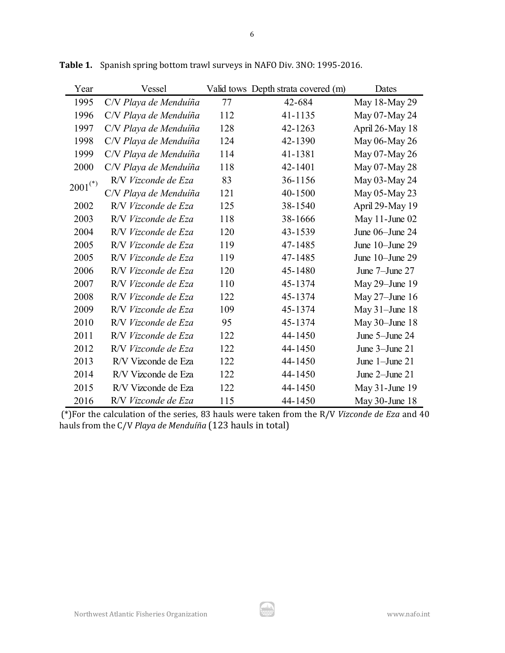| Year                  | Vessel                |     | Valid tows Depth strata covered (m) | Dates               |
|-----------------------|-----------------------|-----|-------------------------------------|---------------------|
| 1995                  | C/V Playa de Menduíña | 77  | 42-684                              | May 18-May 29       |
| 1996                  | C/V Playa de Menduíña | 112 | 41-1135                             | May 07-May 24       |
| 1997                  | C/V Playa de Menduíña | 128 | 42-1263                             | April 26-May 18     |
| 1998                  | C/V Playa de Menduíña | 124 | 42-1390                             | May 06-May 26       |
| 1999                  | C/V Playa de Menduíña | 114 | 41-1381                             | May 07-May 26       |
| 2000                  | C/V Playa de Menduíña | 118 | 42-1401                             | May 07-May 28       |
| $2001$ <sup>(*)</sup> | R/V Vizconde de Eza   | 83  | 36-1156                             | May 03-May 24       |
|                       | C/V Playa de Menduíña | 121 | 40-1500                             | May 05-May 23       |
| 2002                  | R/V Vizconde de Eza   | 125 | 38-1540                             | April 29-May 19     |
| 2003                  | R/V Vizconde de Eza   | 118 | 38-1666                             | May $11$ -June $02$ |
| 2004                  | R/V Vizconde de Eza   | 120 | 43-1539                             | June 06-June 24     |
| 2005                  | R/V Vizconde de Eza   | 119 | 47-1485                             | June 10-June 29     |
| 2005                  | R/V Vizconde de Eza   | 119 | 47-1485                             | June 10-June 29     |
| 2006                  | R/V Vizconde de Eza   | 120 | 45-1480                             | June 7-June 27      |
| 2007                  | R/V Vizconde de Eza   | 110 | 45-1374                             | May $29$ -June 19   |
| 2008                  | R/V Vizconde de Eza   | 122 | 45-1374                             | May 27-June 16      |
| 2009                  | R/V Vizconde de Eza   | 109 | 45-1374                             | May $31$ -June 18   |
| 2010                  | R/V Vizconde de Eza   | 95  | 45-1374                             | May $30$ -June 18   |
| 2011                  | R/V Vizconde de Eza   | 122 | 44-1450                             | June 5-June 24      |
| 2012                  | R/V Vizconde de Eza   | 122 | 44-1450                             | June 3-June 21      |
| 2013                  | R/V Vizconde de Eza   | 122 | 44-1450                             | June $1$ -June $21$ |
| 2014                  | R/V Vizconde de Eza   | 122 | 44-1450                             | June 2-June 21      |
| 2015                  | R/V Vizconde de Eza   | 122 | 44-1450                             | May 31-June 19      |
| 2016                  | R/V Vizconde de Eza   | 115 | 44-1450                             | May $30$ -June $18$ |

**Table 1.** Spanish spring bottom trawl surveys in NAFO Div. 3NO: 1995-2016.

(\*)For the calculation of the series, 83 hauls were taken from the R/V *Vizconde de Eza* and 40 hauls from the C/V *Playa de Menduíña* (123 hauls in total)

ار ش.<br>-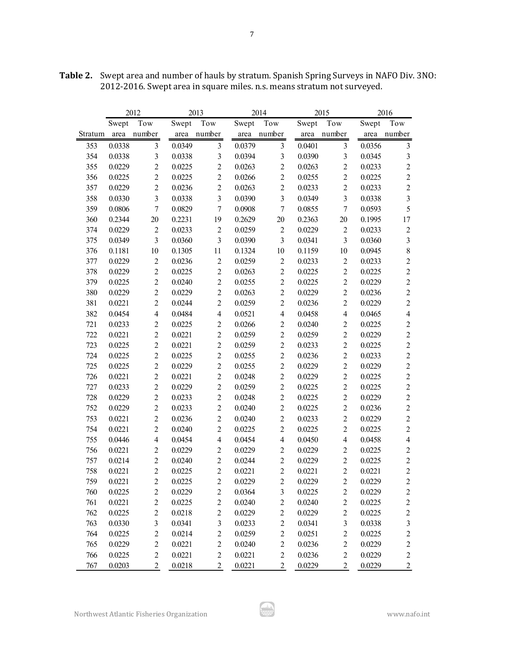|         |        | 2012             |        | 2013                    |        | 2014                    |        | 2015             |        | 2016                    |
|---------|--------|------------------|--------|-------------------------|--------|-------------------------|--------|------------------|--------|-------------------------|
|         | Swept  | Tow              | Swept  | Tow                     | Swept  | Tow                     | Swept  | Tow              | Swept  | Tow                     |
| Stratum | area   | number           | area   | number                  | area   | number                  | area   | number           | area   | number                  |
| 353     | 0.0338 | $\mathfrak{Z}$   | 0.0349 | $\mathfrak{Z}$          | 0.0379 | $\mathfrak{Z}$          | 0.0401 | $\mathfrak{Z}$   | 0.0356 | $\mathfrak{Z}$          |
| 354     | 0.0338 | $\mathfrak{Z}$   | 0.0338 | $\mathfrak{Z}$          | 0.0394 | $\mathfrak{Z}$          | 0.0390 | $\overline{3}$   | 0.0345 | $\mathfrak{Z}$          |
| 355     | 0.0229 | $\overline{c}$   | 0.0225 | $\overline{2}$          | 0.0263 | $\overline{c}$          | 0.0263 | $\sqrt{2}$       | 0.0233 | $\boldsymbol{2}$        |
| 356     | 0.0225 | $\sqrt{2}$       | 0.0225 | $\sqrt{2}$              | 0.0266 | $\overline{c}$          | 0.0255 | $\sqrt{2}$       | 0.0225 | $\sqrt{2}$              |
| 357     | 0.0229 | $\overline{2}$   | 0.0236 | $\overline{c}$          | 0.0263 | $\overline{2}$          | 0.0233 | $\overline{2}$   | 0.0233 | $\sqrt{2}$              |
| 358     | 0.0330 | $\overline{3}$   | 0.0338 | $\overline{3}$          | 0.0390 | $\overline{3}$          | 0.0349 | $\overline{3}$   | 0.0338 | $\mathfrak{Z}$          |
| 359     | 0.0806 | $\boldsymbol{7}$ | 0.0829 | $\boldsymbol{7}$        | 0.0908 | $\overline{7}$          | 0.0855 | $\boldsymbol{7}$ | 0.0593 | 5                       |
| 360     | 0.2344 | 20               | 0.2231 | 19                      | 0.2629 | 20                      | 0.2363 | 20               | 0.1995 | $17\,$                  |
| 374     | 0.0229 | $\sqrt{2}$       | 0.0233 | $\sqrt{2}$              | 0.0259 | $\sqrt{2}$              | 0.0229 | $\sqrt{2}$       | 0.0233 | $\mathfrak{2}$          |
| 375     | 0.0349 | $\overline{3}$   | 0.0360 | $\overline{3}$          | 0.0390 | $\overline{3}$          | 0.0341 | $\overline{3}$   | 0.0360 | $\mathfrak{Z}$          |
| 376     | 0.1181 | 10               | 0.1305 | 11                      | 0.1324 | 10                      | 0.1159 | 10               | 0.0945 | $\,$ $\,$               |
| 377     | 0.0229 | $\sqrt{2}$       | 0.0236 | $\overline{2}$          | 0.0259 | $\sqrt{2}$              | 0.0233 | $\overline{2}$   | 0.0233 | $\overline{c}$          |
| 378     | 0.0229 | $\overline{c}$   | 0.0225 | $\overline{2}$          | 0.0263 | $\sqrt{2}$              | 0.0225 | $\overline{c}$   | 0.0225 | $\overline{c}$          |
| 379     | 0.0225 | $\overline{c}$   | 0.0240 | $\overline{c}$          | 0.0255 | $\overline{2}$          | 0.0225 | $\overline{2}$   | 0.0229 | $\overline{c}$          |
| 380     | 0.0229 | $\overline{2}$   | 0.0229 | $\overline{2}$          | 0.0263 | $\overline{2}$          | 0.0229 | $\overline{2}$   | 0.0236 | $\sqrt{2}$              |
| 381     | 0.0221 | $\overline{c}$   | 0.0244 | $\overline{2}$          | 0.0259 | $\overline{2}$          | 0.0236 | $\overline{2}$   | 0.0229 | $\sqrt{2}$              |
| 382     | 0.0454 | $\overline{4}$   | 0.0484 | $\overline{\mathbf{4}}$ | 0.0521 | $\overline{\mathbf{4}}$ | 0.0458 | $\overline{4}$   | 0.0465 | $\overline{\mathbf{4}}$ |
| 721     | 0.0233 | $\overline{c}$   | 0.0225 | $\overline{c}$          | 0.0266 | $\overline{c}$          | 0.0240 | $\overline{2}$   | 0.0225 | $\sqrt{2}$              |
| 722     | 0.0221 | $\overline{2}$   | 0.0221 | $\overline{2}$          | 0.0259 | $\overline{2}$          | 0.0259 | $\overline{2}$   | 0.0229 | $\sqrt{2}$              |
| 723     | 0.0225 | $\overline{c}$   | 0.0221 | $\overline{c}$          | 0.0259 | $\sqrt{2}$              | 0.0233 | $\overline{2}$   | 0.0225 | $\boldsymbol{2}$        |
| 724     | 0.0225 | $\overline{c}$   | 0.0225 | $\overline{c}$          | 0.0255 | $\sqrt{2}$              | 0.0236 | $\sqrt{2}$       | 0.0233 | $\sqrt{2}$              |
| 725     | 0.0225 | $\overline{2}$   | 0.0229 | $\overline{2}$          | 0.0255 | $\overline{2}$          | 0.0229 | $\overline{2}$   | 0.0229 | $\sqrt{2}$              |
| 726     | 0.0221 | $\overline{c}$   | 0.0221 | $\overline{c}$          | 0.0248 | $\overline{c}$          | 0.0229 | $\overline{2}$   | 0.0225 | $\sqrt{2}$              |
| 727     | 0.0233 | $\overline{c}$   | 0.0229 | $\overline{2}$          | 0.0259 | $\overline{2}$          | 0.0225 | $\overline{2}$   | 0.0225 | $\sqrt{2}$              |
| 728     | 0.0229 | $\overline{c}$   | 0.0233 | $\overline{c}$          | 0.0248 | $\overline{c}$          | 0.0225 | $\overline{c}$   | 0.0229 | $\overline{c}$          |
| 752     | 0.0229 | $\overline{c}$   | 0.0233 | $\overline{2}$          | 0.0240 | $\overline{2}$          | 0.0225 | $\overline{2}$   | 0.0236 | $\sqrt{2}$              |
| 753     | 0.0221 | $\overline{c}$   | 0.0236 | $\overline{c}$          | 0.0240 | $\overline{c}$          | 0.0233 | $\overline{c}$   | 0.0229 | $\sqrt{2}$              |
| 754     | 0.0221 | $\overline{c}$   | 0.0240 | $\overline{2}$          | 0.0225 | $\overline{c}$          | 0.0225 | $\overline{2}$   | 0.0225 | $\overline{c}$          |
| 755     | 0.0446 | $\overline{4}$   | 0.0454 | $\overline{\mathbf{4}}$ | 0.0454 | $\overline{4}$          | 0.0450 | $\overline{4}$   | 0.0458 | $\overline{4}$          |
| 756     | 0.0221 | $\sqrt{2}$       | 0.0229 | $\overline{2}$          | 0.0229 | $\boldsymbol{2}$        | 0.0229 | $\overline{c}$   | 0.0225 | $\sqrt{2}$              |
| 757     | 0.0214 | $\overline{c}$   | 0.0240 | $\overline{c}$          | 0.0244 | $\overline{c}$          | 0.0229 | $\sqrt{2}$       | 0.0225 | $\boldsymbol{2}$        |
| 758     | 0.0221 | $\overline{c}$   | 0.0225 | $\overline{2}$          | 0.0221 | $\overline{2}$          | 0.0221 | $\overline{2}$   | 0.0221 | $\sqrt{2}$              |
| 759     | 0.0221 | $\sqrt{2}$       | 0.0225 | $\boldsymbol{2}$        | 0.0229 | $\sqrt{2}$              | 0.0229 | $\overline{c}$   | 0.0229 | $\overline{c}$          |
| 760     | 0.0225 | $\sqrt{2}$       | 0.0229 | $\overline{c}$          | 0.0364 | $\overline{\mathbf{3}}$ | 0.0225 | $\overline{c}$   | 0.0229 | $\sqrt{2}$              |
| 761     | 0.0221 | $\sqrt{2}$       | 0.0225 | $\boldsymbol{2}$        | 0.0240 | $\overline{c}$          | 0.0240 | $\overline{c}$   | 0.0225 | $\mathbf{2}$            |
| 762     | 0.0225 | $\sqrt{2}$       | 0.0218 | $\overline{c}$          | 0.0229 | $\overline{c}$          | 0.0229 | $\overline{c}$   | 0.0225 | $\sqrt{2}$              |
| 763     | 0.0330 | $\mathfrak{Z}$   | 0.0341 | $\mathfrak{Z}$          | 0.0233 | $\overline{2}$          | 0.0341 | $\mathfrak{Z}$   | 0.0338 | $\mathfrak{Z}$          |
| 764     | 0.0225 | $\boldsymbol{2}$ | 0.0214 | $\overline{c}$          | 0.0259 | $\sqrt{2}$              | 0.0251 | $\overline{c}$   | 0.0225 | $\overline{c}$          |
| 765     | 0.0229 | $\sqrt{2}$       | 0.0221 | $\overline{c}$          | 0.0240 | $\overline{c}$          | 0.0236 | $\boldsymbol{2}$ | 0.0229 | $\sqrt{2}$              |
| 766     | 0.0225 | $\sqrt{2}$       | 0.0221 | $\overline{c}$          | 0.0221 | $\sqrt{2}$              | 0.0236 | $\sqrt{2}$       | 0.0229 | $\overline{c}$          |
| 767     | 0.0203 | $\overline{c}$   | 0.0218 | $\overline{c}$          | 0.0221 | $\overline{c}$          | 0.0229 | $\boldsymbol{2}$ | 0.0229 | $\overline{c}$          |

**Table 2.** Swept area and number of hauls by stratum. Spanish Spring Surveys in NAFO Div. 3NO: 2012-2016. Swept area in square miles. n.s. means stratum not surveyed.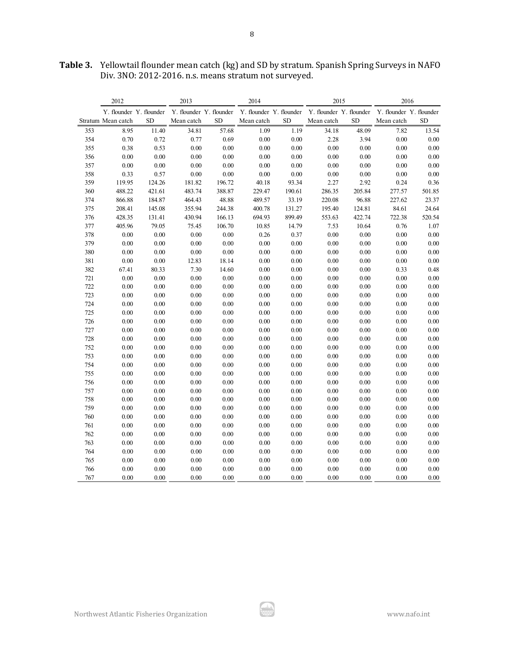|     | 2012                    |           | 2013                    |           | 2014                    |          | 2015                    |           | 2016                    |           |
|-----|-------------------------|-----------|-------------------------|-----------|-------------------------|----------|-------------------------|-----------|-------------------------|-----------|
|     | Y. flounder Y. flounder |           | Y. flounder Y. flounder |           | Y. flounder Y. flounder |          | Y. flounder Y. flounder |           | Y. flounder Y. flounder |           |
|     | Stratum Mean catch      | <b>SD</b> | Mean catch              | <b>SD</b> | Mean catch              | SD       | Mean catch              | <b>SD</b> | Mean catch              | <b>SD</b> |
| 353 | 8.95                    | 11.40     | 34.81                   | 57.68     | 1.09                    | 1.19     | 34.18                   | 48.09     | 7.82                    | 13.54     |
| 354 | 0.70                    | 0.72      | 0.77                    | 0.69      | 0.00                    | 0.00     | 2.28                    | 3.94      | $0.00\,$                | $0.00\,$  |
| 355 | 0.38                    | 0.53      | 0.00                    | $0.00\,$  | 0.00                    | 0.00     | 0.00                    | $0.00\,$  | 0.00                    | $0.00\,$  |
| 356 | 0.00                    | $0.00\,$  | 0.00                    | 0.00      | 0.00                    | 0.00     | 0.00                    | $0.00\,$  | 0.00                    | $0.00\,$  |
| 357 | 0.00                    | $0.00\,$  | 0.00                    | $0.00\,$  | 0.00                    | $0.00\,$ | 0.00                    | $0.00\,$  | 0.00                    | $0.00\,$  |
| 358 | 0.33                    | 0.57      | $0.00\,$                | $0.00\,$  | 0.00                    | 0.00     | 0.00                    | 0.00      | 0.00                    | $0.00\,$  |
| 359 | 119.95                  | 124.26    | 181.82                  | 196.72    | 40.18                   | 93.34    | 2.27                    | 2.92      | 0.24                    | 0.36      |
| 360 | 488.22                  | 421.61    | 483.74                  | 388.87    | 229.47                  | 190.61   | 286.35                  | 205.84    | 277.57                  | 501.85    |
| 374 | 866.88                  | 184.87    | 464.43                  | 48.88     | 489.57                  | 33.19    | 220.08                  | 96.88     | 227.62                  | 23.37     |
| 375 | 208.41                  | 145.08    | 355.94                  | 244.38    | 400.78                  | 131.27   | 195.40                  | 124.81    | 84.61                   | 24.64     |
| 376 | 428.35                  | 131.41    | 430.94                  | 166.13    | 694.93                  | 899.49   | 553.63                  | 422.74    | 722.38                  | 520.54    |
| 377 | 405.96                  | 79.05     | 75.45                   | 106.70    | 10.85                   | 14.79    | 7.53                    | 10.64     | 0.76                    | 1.07      |
| 378 | 0.00                    | 0.00      | 0.00                    | 0.00      | 0.26                    | 0.37     | 0.00                    | 0.00      | 0.00                    | 0.00      |
| 379 | 0.00                    | 0.00      | 0.00                    | 0.00      | 0.00                    | 0.00     | 0.00                    | 0.00      | 0.00                    | 0.00      |
| 380 | 0.00                    | 0.00      | 0.00                    | 0.00      | 0.00                    | 0.00     | 0.00                    | 0.00      | 0.00                    | 0.00      |
| 381 | 0.00                    | 0.00      | 12.83                   | 18.14     | 0.00                    | 0.00     | 0.00                    | 0.00      | 0.00                    | 0.00      |
| 382 | 67.41                   | 80.33     | 7.30                    | 14.60     | 0.00                    | 0.00     | 0.00                    | 0.00      | 0.33                    | 0.48      |
| 721 | 0.00                    | $0.00\,$  | 0.00                    | $0.00\,$  | 0.00                    | $0.00\,$ | 0.00                    | 0.00      | 0.00                    | $0.00\,$  |
| 722 | 0.00                    | $0.00\,$  | 0.00                    | $0.00\,$  | 0.00                    | 0.00     | 0.00                    | 0.00      | 0.00                    | $0.00\,$  |
| 723 | $0.00\,$                | $0.00\,$  | 0.00                    | $0.00\,$  | 0.00                    | $0.00\,$ | 0.00                    | 0.00      | 0.00                    | $0.00\,$  |
| 724 | 0.00                    | 0.00      | 0.00                    | 0.00      | 0.00                    | 0.00     | 0.00                    | 0.00      | 0.00                    | 0.00      |
| 725 | 0.00                    | $0.00\,$  | 0.00                    | $0.00\,$  | 0.00                    | $0.00\,$ | 0.00                    | 0.00      | 0.00                    | $0.00\,$  |
| 726 | 0.00                    | $0.00\,$  | 0.00                    | 0.00      | 0.00                    | 0.00     | 0.00                    | 0.00      | 0.00                    | $0.00\,$  |
| 727 | 0.00                    | $0.00\,$  | 0.00                    | $0.00\,$  | 0.00                    | $0.00\,$ | 0.00                    | 0.00      | 0.00                    | $0.00\,$  |
| 728 | 0.00                    | $0.00\,$  | 0.00                    | $0.00\,$  | 0.00                    | $0.00\,$ | 0.00                    | $0.00\,$  | 0.00                    | $0.00\,$  |
| 752 | 0.00                    | $0.00\,$  | 0.00                    | $0.00\,$  | 0.00                    | 0.00     | 0.00                    | $0.00\,$  | 0.00                    | $0.00\,$  |
| 753 | 0.00                    | $0.00\,$  | 0.00                    | 0.00      | 0.00                    | $0.00\,$ | 0.00                    | $0.00\,$  | 0.00                    | $0.00\,$  |
| 754 | 0.00                    | $0.00\,$  | 0.00                    | $0.00\,$  | 0.00                    | $0.00\,$ | 0.00                    | $0.00\,$  | 0.00                    | $0.00\,$  |
| 755 | 0.00                    | $0.00\,$  | 0.00                    | $0.00\,$  | 0.00                    | 0.00     | 0.00                    | $0.00\,$  | 0.00                    | $0.00\,$  |
| 756 | 0.00                    | $0.00\,$  | 0.00                    | $0.00\,$  | 0.00                    | 0.00     | 0.00                    | $0.00\,$  | 0.00                    | 0.00      |
| 757 | 0.00                    | $0.00\,$  | 0.00                    | $0.00\,$  | $0.00\,$                | 0.00     | 0.00                    | $0.00\,$  | 0.00                    | $0.00\,$  |
| 758 | 0.00                    | $0.00\,$  | 0.00                    | $0.00\,$  | 0.00                    | 0.00     | 0.00                    | $0.00\,$  | 0.00                    | $0.00\,$  |
| 759 | 0.00                    | 0.00      | 0.00                    | 0.00      | 0.00                    | 0.00     | 0.00                    | 0.00      | 0.00                    | $0.00\,$  |
| 760 | 0.00                    | $0.00\,$  | 0.00                    | $0.00\,$  | 0.00                    | 0.00     | 0.00                    | $0.00\,$  | 0.00                    | $0.00\,$  |
| 761 | 0.00                    | $0.00\,$  | 0.00                    | $0.00\,$  | 0.00                    | 0.00     | 0.00                    | $0.00\,$  | 0.00                    | $0.00\,$  |
| 762 | 0.00                    | 0.00      | 0.00                    | $0.00\,$  | 0.00                    | 0.00     | 0.00                    | $0.00\,$  | 0.00                    | $0.00\,$  |
| 763 | 0.00                    | 0.00      | 0.00                    | 0.00      | 0.00                    | 0.00     | 0.00                    | 0.00      | 0.00                    | $0.00\,$  |
| 764 | 0.00                    | 0.00      | 0.00                    | 0.00      | 0.00                    | 0.00     | 0.00                    | 0.00      | 0.00                    | 0.00      |
| 765 | 0.00                    | 0.00      | 0.00                    | 0.00      | 0.00                    | 0.00     | 0.00                    | $0.00\,$  | 0.00                    | 0.00      |
| 766 | 0.00                    | 0.00      | 0.00                    | 0.00      | 0.00                    | 0.00     | 0.00                    | 0.00      | 0.00                    | 0.00      |
| 767 | 0.00                    | 0.00      | 0.00                    | 0.00      | 0.00                    | 0.00     | 0.00                    | 0.00      | 0.00                    | 0.00      |

الكب

**Table 3.** Yellowtail flounder mean catch (kg) and SD by stratum. Spanish Spring Surveys in NAFO Div. 3NO: 2012-2016. n.s. means stratum not surveyed.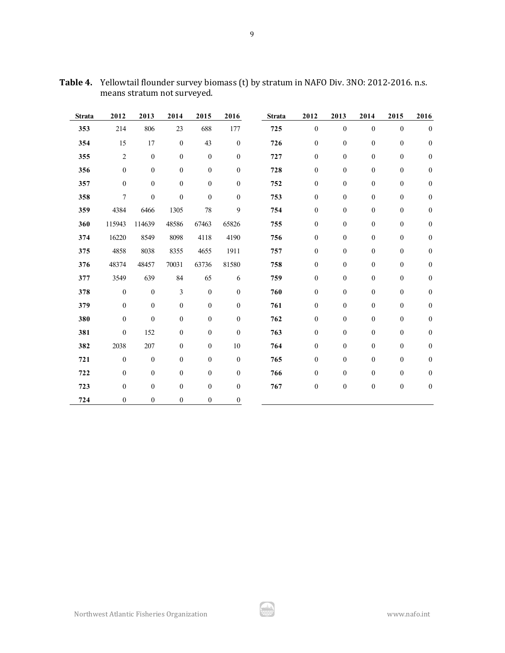| <b>Strata</b> | 2012             | 2013             | 2014             | 2015             | 2016             | <b>Strata</b> | 2012             | 2013             | 2014             | 2015             | 2016             |
|---------------|------------------|------------------|------------------|------------------|------------------|---------------|------------------|------------------|------------------|------------------|------------------|
| 353           | 214              | 806              | 23               | 688              | 177              | 725           | $\boldsymbol{0}$ | $\boldsymbol{0}$ | $\boldsymbol{0}$ | $\boldsymbol{0}$ | $\boldsymbol{0}$ |
| 354           | 15               | 17               | $\boldsymbol{0}$ | 43               | $\boldsymbol{0}$ | 726           | $\boldsymbol{0}$ | $\boldsymbol{0}$ | $\boldsymbol{0}$ | $\boldsymbol{0}$ | $\boldsymbol{0}$ |
| 355           | $\overline{2}$   | $\boldsymbol{0}$ | $\mathbf{0}$     | $\boldsymbol{0}$ | $\boldsymbol{0}$ | 727           | $\boldsymbol{0}$ | $\boldsymbol{0}$ | $\boldsymbol{0}$ | $\boldsymbol{0}$ | $\boldsymbol{0}$ |
| 356           | $\boldsymbol{0}$ | $\boldsymbol{0}$ | $\boldsymbol{0}$ | $\boldsymbol{0}$ | $\boldsymbol{0}$ | 728           | $\boldsymbol{0}$ | $\boldsymbol{0}$ | $\boldsymbol{0}$ | $\boldsymbol{0}$ | $\boldsymbol{0}$ |
| 357           | $\mathbf{0}$     | $\boldsymbol{0}$ | $\mathbf{0}$     | $\boldsymbol{0}$ | $\boldsymbol{0}$ | 752           | $\boldsymbol{0}$ | $\boldsymbol{0}$ | $\boldsymbol{0}$ | $\boldsymbol{0}$ | $\boldsymbol{0}$ |
| 358           | 7                | $\boldsymbol{0}$ | $\boldsymbol{0}$ | $\boldsymbol{0}$ | $\boldsymbol{0}$ | 753           | $\boldsymbol{0}$ | $\boldsymbol{0}$ | $\boldsymbol{0}$ | $\boldsymbol{0}$ | $\boldsymbol{0}$ |
| 359           | 4384             | 6466             | 1305             | 78               | 9                | 754           | $\boldsymbol{0}$ | $\boldsymbol{0}$ | $\boldsymbol{0}$ | $\boldsymbol{0}$ | $\boldsymbol{0}$ |
| 360           | 115943           | 114639           | 48586            | 67463            | 65826            | 755           | $\boldsymbol{0}$ | $\boldsymbol{0}$ | $\boldsymbol{0}$ | $\boldsymbol{0}$ | $\boldsymbol{0}$ |
| 374           | 16220            | 8549             | 8098             | 4118             | 4190             | 756           | $\boldsymbol{0}$ | $\boldsymbol{0}$ | $\boldsymbol{0}$ | $\boldsymbol{0}$ | $\boldsymbol{0}$ |
| 375           | 4858             | 8038             | 8355             | 4655             | 1911             | 757           | $\boldsymbol{0}$ | $\boldsymbol{0}$ | $\boldsymbol{0}$ | $\boldsymbol{0}$ | $\boldsymbol{0}$ |
| 376           | 48374            | 48457            | 70031            | 63736            | 81580            | 758           | $\boldsymbol{0}$ | $\boldsymbol{0}$ | $\boldsymbol{0}$ | $\boldsymbol{0}$ | $\boldsymbol{0}$ |
| 377           | 3549             | 639              | 84               | 65               | 6                | 759           | $\boldsymbol{0}$ | $\boldsymbol{0}$ | $\boldsymbol{0}$ | $\boldsymbol{0}$ | $\boldsymbol{0}$ |
| 378           | $\boldsymbol{0}$ | $\boldsymbol{0}$ | 3                | $\boldsymbol{0}$ | $\boldsymbol{0}$ | 760           | $\boldsymbol{0}$ | $\boldsymbol{0}$ | $\boldsymbol{0}$ | $\boldsymbol{0}$ | $\boldsymbol{0}$ |
| 379           | $\boldsymbol{0}$ | $\boldsymbol{0}$ | $\boldsymbol{0}$ | $\boldsymbol{0}$ | $\boldsymbol{0}$ | 761           | $\boldsymbol{0}$ | $\boldsymbol{0}$ | $\boldsymbol{0}$ | $\boldsymbol{0}$ | $\boldsymbol{0}$ |
| 380           | $\boldsymbol{0}$ | $\boldsymbol{0}$ | $\boldsymbol{0}$ | $\boldsymbol{0}$ | $\boldsymbol{0}$ | 762           | $\boldsymbol{0}$ | $\boldsymbol{0}$ | $\boldsymbol{0}$ | $\boldsymbol{0}$ | $\boldsymbol{0}$ |
| 381           | $\boldsymbol{0}$ | 152              | $\boldsymbol{0}$ | $\boldsymbol{0}$ | $\boldsymbol{0}$ | 763           | $\boldsymbol{0}$ | $\boldsymbol{0}$ | $\boldsymbol{0}$ | $\boldsymbol{0}$ | $\boldsymbol{0}$ |
| 382           | 2038             | 207              | $\boldsymbol{0}$ | $\boldsymbol{0}$ | 10               | 764           | $\boldsymbol{0}$ | $\boldsymbol{0}$ | $\mathbf{0}$     | $\boldsymbol{0}$ | $\boldsymbol{0}$ |
| 721           | $\boldsymbol{0}$ | $\boldsymbol{0}$ | $\boldsymbol{0}$ | $\boldsymbol{0}$ | $\boldsymbol{0}$ | 765           | $\boldsymbol{0}$ | $\boldsymbol{0}$ | $\boldsymbol{0}$ | $\boldsymbol{0}$ | $\boldsymbol{0}$ |
| 722           | $\boldsymbol{0}$ | $\boldsymbol{0}$ | $\boldsymbol{0}$ | $\boldsymbol{0}$ | $\boldsymbol{0}$ | 766           | $\boldsymbol{0}$ | $\boldsymbol{0}$ | $\boldsymbol{0}$ | $\boldsymbol{0}$ | $\boldsymbol{0}$ |
| 723           | $\mathbf{0}$     | $\mathbf{0}$     | $\boldsymbol{0}$ | $\boldsymbol{0}$ | $\boldsymbol{0}$ | 767           | $\boldsymbol{0}$ | $\boldsymbol{0}$ | $\boldsymbol{0}$ | $\boldsymbol{0}$ | $\boldsymbol{0}$ |
| 724           | $\mathbf{0}$     | $\mathbf{0}$     | $\mathbf{0}$     | $\boldsymbol{0}$ | $\boldsymbol{0}$ |               |                  |                  |                  |                  |                  |

**Table 4.** Yellowtail flounder survey biomass (t) by stratum in NAFO Div. 3NO: 2012-2016. n.s. means stratum not surveyed.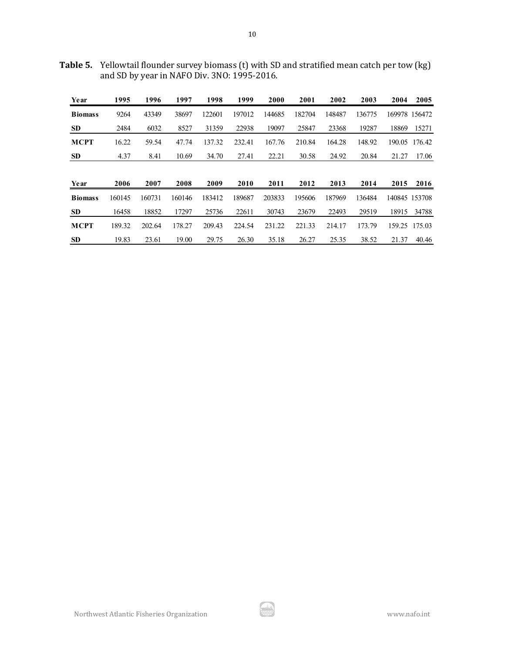**Table 5.** Yellowtail flounder survey biomass (t) with SD and stratified mean catch per tow (kg) and SD by year in NAFO Div. 3NO: 1995-2016.

| Year           | 1995   | 1996   | 1997   | 1998   | 1999   | 2000   | 2001   | 2002   | 2003   | 2004          | 2005          |
|----------------|--------|--------|--------|--------|--------|--------|--------|--------|--------|---------------|---------------|
| <b>Biomass</b> | 9264   | 43349  | 38697  | 122601 | 197012 | 144685 | 182704 | 148487 | 136775 |               | 169978 156472 |
| <b>SD</b>      | 2484   | 6032   | 8527   | 31359  | 22938  | 19097  | 25847  | 23368  | 19287  | 18869         | 15271         |
| <b>MCPT</b>    | 16.22  | 59.54  | 47.74  | 137.32 | 232.41 | 167.76 | 210.84 | 164.28 | 148.92 | 190.05        | 176.42        |
| <b>SD</b>      | 4.37   | 8.41   | 10.69  | 34.70  | 27.41  | 22.21  | 30.58  | 24.92  | 20.84  | 21.27         | 17.06         |
|                |        |        |        |        |        |        |        |        |        |               |               |
| Year           | 2006   | 2007   | 2008   | 2009   | 2010   | 2011   | 2012   | 2013   | 2014   | 2015          | 2016          |
| <b>Biomass</b> | 160145 | 160731 | 160146 | 183412 | 189687 | 203833 | 195606 | 187969 | 136484 | 140845 153708 |               |
| <b>SD</b>      | 16458  | 18852  | 17297  | 25736  | 22611  | 30743  | 23679  | 22493  | 29519  | 18915         | 34788         |
| <b>MCPT</b>    | 189.32 | 202.64 | 178.27 | 209.43 | 224.54 | 231.22 | 221.33 | 214.17 | 173.79 |               | 159.25 175.03 |
| <b>SD</b>      | 19.83  | 23.61  | 19.00  | 29.75  | 26.30  | 35.18  | 26.27  | 25.35  | 38.52  | 21.37         | 40.46         |

ا بارگیر<br>مون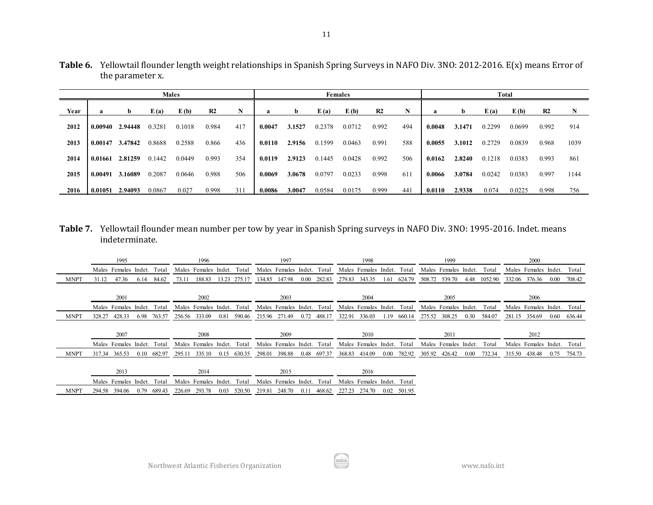| N                                |
|----------------------------------|
|                                  |
| 0.992<br>914                     |
| 1039                             |
| 861                              |
| 1144                             |
| 756                              |
| 0.968<br>0.993<br>0.997<br>0.998 |

**Table 6.** Yellowtail flounder length weight relationships in Spanish Spring Surveys in NAFO Div. 3NO: 2012-2016. E(x) means Error of the parameter x.

**Table 7.** Yellowtail flounder mean number per tow by year in Spanish Spring surveys in NAFO Div. 3NO: 1995-2016. Indet. means indeterminate.

|             | 1995                               | 1996                               | 1997                                   | 1998                                | 1999                                | 2000                                |
|-------------|------------------------------------|------------------------------------|----------------------------------------|-------------------------------------|-------------------------------------|-------------------------------------|
|             | Total<br>Males Females Indet.      | Females Indet.<br>Total<br>Males   | Total<br>Males Females Indet.          | Males Females Indet.<br>Total       | Males Females Indet.<br>Total       | Males Females Indet.<br>Total       |
| <b>MNPT</b> | 84.62<br>47.36<br>6.14<br>31.12    | 13.23 275.17<br>73.11<br>188.83    | 147.98<br>282.83<br>134.85<br>$0.00\,$ | 343.35<br>279.83<br>624.79<br>1.61  | 508.72<br>539.70<br>4.48<br>1052.90 | 332.06 376.36<br>708.42<br>$0.00\,$ |
|             | 2001                               | 2002                               | 2003                                   | 2004                                | 2005                                | 2006                                |
|             | Males Females Indet.<br>Total      | Males Females Indet.<br>Total      | Males Females Indet. Total             | Males Females Indet.<br>Total       | Males Females Indet.<br>Total       | Males Females Indet.<br>Total       |
| <b>MNPT</b> | 428.33<br>763.57<br>6.98<br>328.27 | 256.56 333.09<br>0.81<br>590.46    | 215.96 271.49<br>0.72<br>488.17        | 322.91<br>336.03<br>660.14<br>1.19  | 308.25<br>0.30<br>275.52<br>584.07  | 281.15 354.69<br>0.60<br>636.44     |
|             | 2007                               | 2008                               | 2009                                   | 2010                                | 2011                                | 2012                                |
|             | Males Females Indet. Total         | Males Females Indet.<br>Total      | Males Females Indet. Total             | Males Females Indet.<br>Total       | Males Females Indet.<br>Total       | Males Females Indet.<br>Total       |
| <b>MNPT</b> | 682.97<br>317.34 365.53<br>0.10    | 335.10<br>630.35<br>295.11<br>0.15 | 298.01<br>398.88<br>0.48<br>697.37     | 368.83 414.09<br>782.92<br>$0.00\,$ | 305.92 426.42<br>732.34<br>$0.00\,$ | 315.50 438.48<br>0.75<br>754.73     |
|             |                                    |                                    |                                        |                                     |                                     |                                     |
|             | 2013                               | 2014                               | 2015                                   | 2016                                |                                     |                                     |
|             | Total<br>Males Females Indet.      | Males Females Indet.<br>Total      | Males Females Indet.<br>Total          | Males Females Indet. Total          |                                     |                                     |
| <b>MNPT</b> | 0.79<br>689.43<br>294.58 394.06    | 226.69<br>293.78<br>0.03<br>520.50 | 219.81<br>248.70<br>468.62<br>0.11     | 274.70<br>501.95<br>0.02<br>227.23  |                                     |                                     |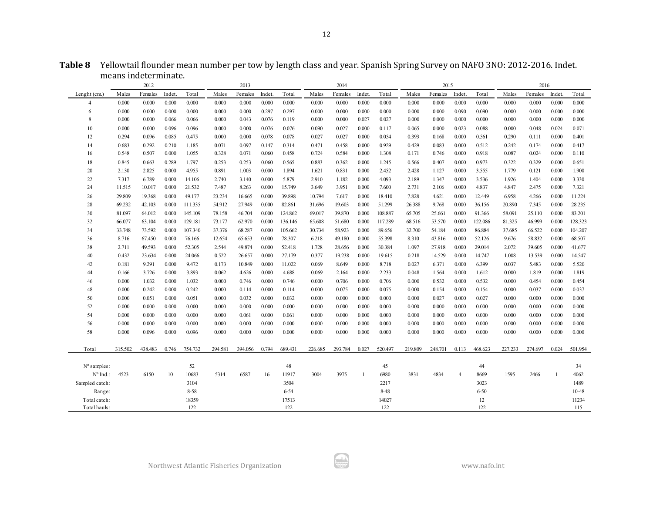|                      |         | means indeterminate. |        |         |         |         |        |          |         |         |              |         |         |         |                |          |         |         |        |         |
|----------------------|---------|----------------------|--------|---------|---------|---------|--------|----------|---------|---------|--------------|---------|---------|---------|----------------|----------|---------|---------|--------|---------|
|                      |         | 2012                 |        |         |         | 2013    |        |          |         | 2014    |              |         |         | 2015    |                |          |         | 2016    |        |         |
| Lenght $(cm.)$       | Males   | Females              | Indet. | Total   | Males   | Females | Indet. | Total    | Males   | Females | Indet.       | Total   | Males   | Females | Indet.         | Total    | Males   | Females | Indet. | Total   |
| 4                    | 0.000   | 0.000                | 0.000  | 0.000   | 0.000   | 0.000   | 0.000  | 0.000    | 0.000   | 0.000   | 0.000        | 0.000   | 0.000   | 0.000   | 0.000          | 0.000    | 0.000   | 0.000   | 0.000  | 0.000   |
| 6                    | 0.000   | 0.000                | 0.000  | 0.000   | 0.000   | 0.000   | 0.297  | 0.297    | 0.000   | 0.000   | 0.000        | 0.000   | 0.000   | 0.000   | 0.090          | 0.090    | 0.000   | 0.000   | 0.000  | 0.000   |
| 8                    | 0.000   | 0.000                | 0.066  | 0.066   | 0.000   | 0.043   | 0.076  | 0.119    | 0.000   | 0.000   | 0.027        | 0.027   | 0.000   | 0.000   | 0.000          | 0.000    | 0.000   | 0.000   | 0.000  | 0.000   |
| 10                   | 0.000   | 0.000                | 0.096  | 0.096   | 0.000   | 0.000   | 0.076  | 0.076    | 0.090   | 0.027   | 0.000        | 0.117   | 0.065   | 0.000   | 0.023          | 0.088    | 0.000   | 0.048   | 0.024  | 0.071   |
| 12                   | 0.294   | 0.096                | 0.085  | 0.475   | 0.000   | 0.000   | 0.078  | 0.078    | 0.027   | 0.027   | 0.000        | 0.054   | 0.393   | 0.168   | 0.000          | 0.561    | 0.290   | 0.111   | 0.000  | 0.401   |
| 14                   | 0.683   | 0.292                | 0.210  | 1.185   | 0.071   | 0.097   | 0.147  | 0.314    | 0.471   | 0.458   | 0.000        | 0.929   | 0.429   | 0.083   | 0.000          | 0.512    | 0.242   | 0.174   | 0.000  | 0.417   |
| 16                   | 0.548   | 0.507                | 0.000  | 1.055   | 0.328   | 0.071   | 0.060  | 0.458    | 0.724   | 0.584   | 0.000        | 1.308   | 0.171   | 0.746   | 0.000          | 0.918    | 0.087   | 0.024   | 0.000  | 0.110   |
| 18                   | 0.845   | 0.663                | 0.289  | 1.797   | 0.253   | 0.253   | 0.060  | 0.565    | 0.883   | 0.362   | 0.000        | 1.245   | 0.566   | 0.407   | 0.000          | 0.973    | 0.322   | 0.329   | 0.000  | 0.651   |
| 20                   | 2.130   | 2.825                | 0.000  | 4.955   | 0.891   | 1.003   | 0.000  | 1.894    | 1.621   | 0.831   | 0.000        | 2.452   | 2.428   | 1.127   | 0.000          | 3.555    | 1.779   | 0.121   | 0.000  | 1.900   |
| 22                   | 7.317   | 6.789                | 0.000  | 14.106  | 2.740   | 3.140   | 0.000  | 5.879    | 2.910   | 1.182   | 0.000        | 4.093   | 2.189   | 1.347   | 0.000          | 3.536    | 1.926   | 1.404   | 0.000  | 3.330   |
| 24                   | 11.515  | 10.017               | 0.000  | 21.532  | 7.487   | 8.263   | 0.000  | 15.749   | 3.649   | 3.951   | 0.000        | 7.600   | 2.731   | 2.106   | 0.000          | 4.837    | 4.847   | 2.475   | 0.000  | 7.321   |
| 26                   | 29.809  | 19.368               | 0.000  | 49.177  | 23.234  | 16.665  | 0.000  | 39.898   | 10.794  | 7.617   | 0.000        | 18.410  | 7.828   | 4.621   | 0.000          | 12.449   | 6.958   | 4.266   | 0.000  | 11.224  |
| 28                   | 69.232  | 42.103               | 0.000  | 111.335 | 54.912  | 27.949  | 0.000  | 82.861   | 31.696  | 19.603  | 0.000        | 51.299  | 26.388  | 9.768   | 0.000          | 36.156   | 20.890  | 7.345   | 0.000  | 28.235  |
| 30                   | 81.097  | 64.012               | 0.000  | 145.109 | 78.158  | 46.704  | 0.000  | 124.862  | 69.017  | 39.870  | 0.000        | 108.887 | 65.705  | 25.661  | 0.000          | 91.366   | 58.091  | 25.110  | 0.000  | 83.201  |
| 32                   | 66.077  | 63.104               | 0.000  | 129.181 | 73.177  | 62.970  | 0.000  | 136.146  | 65.608  | 51.680  | 0.000        | 117.289 | 68.516  | 53.570  | 0.000          | 122.086  | 81.325  | 46.999  | 0.000  | 128.323 |
| 34                   | 33.748  | 73.592               | 0.000  | 107.340 | 37.376  | 68.287  | 0.000  | 105.662  | 30.734  | 58.923  | 0.000        | 89.656  | 32.700  | 54.184  | 0.000          | 86.884   | 37.685  | 66.522  | 0.000  | 104.207 |
| 36                   | 8.716   | 67.450               | 0.000  | 76.166  | 12.654  | 65.653  | 0.000  | 78.307   | 6.218   | 49.180  | 0.000        | 55.398  | 8.310   | 43.816  | 0.000          | 52.126   | 9.676   | 58.832  | 0.000  | 68.507  |
| 38                   | 2.711   | 49.593               | 0.000  | 52.305  | 2.544   | 49.874  | 0.000  | 52.418   | 1.728   | 28.656  | 0.000        | 30.384  | 1.097   | 27.918  | 0.000          | 29.014   | 2.072   | 39.605  | 0.000  | 41.677  |
| 40                   | 0.432   | 23.634               | 0.000  | 24.066  | 0.522   | 26.657  | 0.000  | 27.179   | 0.377   | 19.238  | 0.000        | 19.615  | 0.218   | 14.529  | 0.000          | 14.747   | 1.008   | 13.539  | 0.000  | 14.547  |
| 42                   | 0.181   | 9.291                | 0.000  | 9.472   | 0.173   | 10.849  | 0.000  | 11.022   | 0.069   | 8.649   | 0.000        | 8.718   | 0.027   | 6.371   | 0.000          | 6.399    | 0.037   | 5.483   | 0.000  | 5.520   |
| 44                   | 0.166   | 3.726                | 0.000  | 3.893   | 0.062   | 4.626   | 0.000  | 4.688    | 0.069   | 2.164   | 0.000        | 2.233   | 0.048   | 1.564   | 0.000          | 1.612    | 0.000   | 1.819   | 0.000  | 1.819   |
| 46                   | 0.000   | 1.032                | 0.000  | 1.032   | 0.000   | 0.746   | 0.000  | 0.746    | 0.000   | 0.706   | 0.000        | 0.706   | 0.000   | 0.532   | 0.000          | 0.532    | 0.000   | 0.454   | 0.000  | 0.454   |
| 48                   | 0.000   | 0.242                | 0.000  | 0.242   | 0.000   | 0.114   | 0.000  | 0.114    | 0.000   | 0.075   | 0.000        | 0.075   | 0.000   | 0.154   | 0.000          | 0.154    | 0.000   | 0.037   | 0.000  | 0.037   |
| 50                   | 0.000   | 0.051                | 0.000  | 0.051   | 0.000   | 0.032   | 0.000  | 0.032    | 0.000   | 0.000   | 0.000        | 0.000   | 0.000   | 0.027   | 0.000          | 0.027    | 0.000   | 0.000   | 0.000  | 0.000   |
| 52                   | 0.000   | 0.000                | 0.000  | 0.000   | 0.000   | 0.000   | 0.000  | 0.000    | 0.000   | 0.000   | 0.000        | 0.000   | 0.000   | 0.000   | 0.000          | 0.000    | 0.000   | 0.000   | 0.000  | 0.000   |
| 54                   | 0.000   | 0.000                | 0.000  | 0.000   | 0.000   | 0.061   | 0.000  | 0.061    | 0.000   | 0.000   | 0.000        | 0.000   | 0.000   | 0.000   | 0.000          | 0.000    | 0.000   | 0.000   | 0.000  | 0.000   |
| 56                   | 0.000   | 0.000                | 0.000  | 0.000   | 0.000   | 0.000   | 0.000  | 0.000    | 0.000   | 0.000   | 0.000        | 0.000   | 0.000   | 0.000   | 0.000          | 0.000    | 0.000   | 0.000   | 0.000  | 0.000   |
| 58                   | 0.000   | 0.096                | 0.000  | 0.096   | 0.000   | 0.000   | 0.000  | 0.000    | 0.000   | 0.000   | 0.000        | 0.000   | 0.000   | 0.000   | 0.000          | 0.000    | 0.000   | 0.000   | 0.000  | 0.000   |
| Total                | 315.502 | 438.483              | 0.746  | 754.732 | 294.581 | 394.056 | 0.794  | 689.431  | 226.685 | 293.784 | 0.027        | 520.497 | 219.809 | 248.701 | 0.113          | 468.623  | 227.233 | 274.697 | 0.024  | 501.954 |
|                      |         |                      |        |         |         |         |        |          |         |         |              |         |         |         |                |          |         |         |        |         |
| $N^{\circ}$ samples: |         |                      |        | 52      |         |         |        | 48       |         |         |              | 45      |         |         | $\overline{4}$ | 44       |         |         |        | 34      |
| Nº Ind.:             | 4523    | 6150                 | 10     | 10683   | 5314    | 6587    | 16     | 11917    | 3004    | 3975    | $\mathbf{1}$ | 6980    | 3831    | 4834    |                | 8669     | 1595    | 2466    |        | 4062    |
| Sampled catch:       |         |                      |        | 3104    |         |         |        | 3504     |         |         |              | 2217    |         |         |                | 3023     |         |         |        | 1489    |
| Range:               |         |                      |        | 8-58    |         |         |        | $6 - 54$ |         |         |              | 8-48    |         |         |                | $6 - 50$ |         |         |        | 10-48   |
| Total catch:         |         |                      |        | 18359   |         |         |        | 17513    |         |         |              | 14027   |         |         |                | 12       |         |         |        | 11234   |

Total hauls: 122 122 122 122 115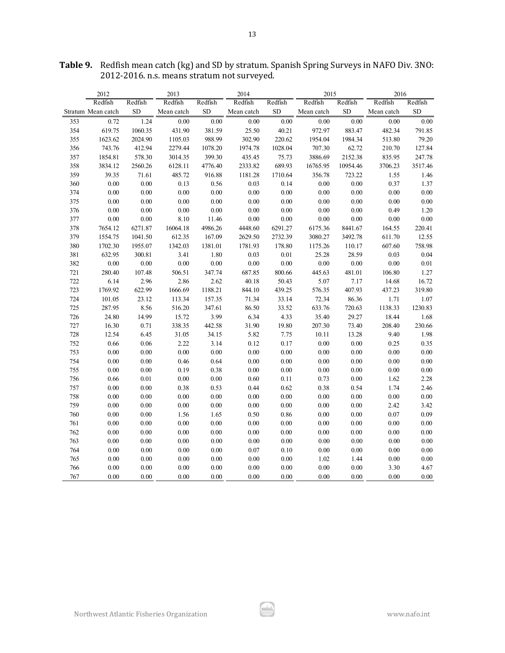|     | 2012               |           | 2013       |           | 2014       |           | 2015       |           | 2016       |           |
|-----|--------------------|-----------|------------|-----------|------------|-----------|------------|-----------|------------|-----------|
|     | Redfish            | Redfish   | Redfish    | Redfish   | Redfish    | Redfish   | Redfish    | Redfish   | Redfish    | Redfish   |
|     | Stratum Mean catch | <b>SD</b> | Mean catch | <b>SD</b> | Mean catch | <b>SD</b> | Mean catch | <b>SD</b> | Mean catch | <b>SD</b> |
| 353 | 0.72               | 1.24      | 0.00       | 0.00      | 0.00       | $0.00\,$  | 0.00       | $0.00\,$  | 0.00       | $0.00\,$  |
| 354 | 619.75             | 1060.35   | 431.90     | 381.59    | 25.50      | 40.21     | 972.97     | 883.47    | 482.34     | 791.85    |
| 355 | 1623.62            | 2024.90   | 1105.03    | 988.99    | 302.90     | 220.62    | 1954.04    | 1984.34   | 513.80     | 79.20     |
| 356 | 743.76             | 412.94    | 2279.44    | 1078.20   | 1974.78    | 1028.04   | 707.30     | 62.72     | 210.70     | 127.84    |
| 357 | 1854.81            | 578.30    | 3014.35    | 399.30    | 435.45     | 75.73     | 3886.69    | 2152.38   | 835.95     | 247.78    |
| 358 | 3834.12            | 2560.26   | 6128.11    | 4776.40   | 2333.82    | 689.93    | 16765.95   | 10954.46  | 3706.23    | 3517.46   |
| 359 | 39.35              | 71.61     | 485.72     | 916.88    | 1181.28    | 1710.64   | 356.78     | 723.22    | 1.55       | 1.46      |
| 360 | 0.00               | 0.00      | 0.13       | 0.56      | 0.03       | 0.14      | 0.00       | 0.00      | 0.37       | 1.37      |
| 374 | 0.00               | $0.00\,$  | 0.00       | 0.00      | $0.00\,$   | $0.00\,$  | $0.00\,$   | $0.00\,$  | 0.00       | $0.00\,$  |
| 375 | $0.00\,$           | 0.00      | $0.00\,$   | 0.00      | 0.00       | 0.00      | 0.00       | $0.00\,$  | 0.00       | $0.00\,$  |
| 376 | $0.00\,$           | $0.00\,$  | $0.00\,$   | 0.00      | 0.00       | $0.00\,$  | 0.00       | 0.00      | 0.49       | 1.20      |
| 377 | 0.00               | $0.00\,$  | 8.10       | 11.46     | 0.00       | $0.00\,$  | 0.00       | $0.00\,$  | 0.00       | $0.00\,$  |
| 378 | 7654.12            | 6271.87   | 16064.18   | 4986.26   | 4448.60    | 6291.27   | 6175.36    | 8441.67   | 164.55     | 220.41    |
| 379 | 1554.75            | 1041.50   | 612.35     | 167.09    | 2629.50    | 2732.39   | 3080.27    | 3492.78   | 611.70     | 12.55     |
| 380 | 1702.30            | 1955.07   | 1342.03    | 1381.01   | 1781.93    | 178.80    | 1175.26    | 110.17    | 607.60     | 758.98    |
| 381 | 632.95             | 300.81    | 3.41       | 1.80      | 0.03       | $0.01\,$  | 25.28      | 28.59     | 0.03       | 0.04      |
| 382 | $0.00\,$           | $0.00\,$  | $0.00\,$   | 0.00      | 0.00       | $0.00\,$  | $0.00\,$   | $0.00\,$  | 0.00       | 0.01      |
| 721 | 280.40             | 107.48    | 506.51     | 347.74    | 687.85     | 800.66    | 445.63     | 481.01    | 106.80     | 1.27      |
| 722 | 6.14               | 2.96      | 2.86       | 2.62      | 40.18      | 50.43     | 5.07       | 7.17      | 14.68      | 16.72     |
| 723 | 1769.92            | 622.99    | 1666.69    | 1188.21   | 844.10     | 439.25    | 576.35     | 407.93    | 437.23     | 319.80    |
| 724 | 101.05             | 23.12     | 113.34     | 157.35    | 71.34      | 33.14     | 72.34      | 86.36     | 1.71       | 1.07      |
| 725 | 287.95             | 8.56      | 516.20     | 347.61    | 86.50      | 33.52     | 633.76     | 720.63    | 1138.33    | 1230.83   |
| 726 | 24.80              | 14.99     | 15.72      | 3.99      | 6.34       | 4.33      | 35.40      | 29.27     | 18.44      | 1.68      |
| 727 | 16.30              | 0.71      | 338.35     | 442.58    | 31.90      | 19.80     | 207.30     | 73.40     | 208.40     | 230.66    |
| 728 | 12.54              | 6.45      | 31.05      | 34.15     | 5.82       | 7.75      | 10.11      | 13.28     | 9.40       | 1.98      |
| 752 | 0.66               | 0.06      | 2.22       | 3.14      | 0.12       | 0.17      | $0.00\,$   | $0.00\,$  | 0.25       | 0.35      |
| 753 | 0.00               | 0.00      | 0.00       | 0.00      | 0.00       | 0.00      | $0.00\,$   | 0.00      | 0.00       | $0.00\,$  |
| 754 | $0.00\,$           | $0.00\,$  | 0.46       | 0.64      | 0.00       | $0.00\,$  | $0.00\,$   | 0.00      | 0.00       | $0.00\,$  |
| 755 | 0.00               | 0.00      | 0.19       | 0.38      | 0.00       | $0.00\,$  | 0.00       | $0.00\,$  | 0.00       | 0.00      |
| 756 | 0.66               | $0.01\,$  | $0.00\,$   | 0.00      | 0.60       | 0.11      | 0.73       | 0.00      | 1.62       | 2.28      |
| 757 | $0.00\,$           | $0.00\,$  | 0.38       | 0.53      | 0.44       | 0.62      | 0.38       | 0.54      | 1.74       | 2.46      |
| 758 | 0.00               | 0.00      | 0.00       | 0.00      | 0.00       | 0.00      | 0.00       | 0.00      | 0.00       | 0.00      |
| 759 | 0.00               | 0.00      | 0.00       | $0.00\,$  | 0.00       | $0.00\,$  | 0.00       | 0.00      | 2.42       | 3.42      |
| 760 | $0.00\,$           | 0.00      | 1.56       | 1.65      | 0.50       | 0.86      | 0.00       | 0.00      | 0.07       | 0.09      |
| 761 | 0.00               | 0.00      | 0.00       | 0.00      | 0.00       | 0.00      | 0.00       | 0.00      | 0.00       | 0.00      |
| 762 | $0.00\,$           | $0.00\,$  | 0.00       | 0.00      | $0.00\,$   | $0.00\,$  | $0.00\,$   | 0.00      | 0.00       | 0.00      |
| 763 | 0.00               | 0.00      | 0.00       | $0.00\,$  | 0.00       | $0.00\,$  | 0.00       | $0.00\,$  | 0.00       | $0.00\,$  |
| 764 | 0.00               | 0.00      | 0.00       | 0.00      | 0.07       | 0.10      | 0.00       | $0.00\,$  | 0.00       | $0.00\,$  |
| 765 | 0.00               | 0.00      | 0.00       | $0.00\,$  | 0.00       | $0.00\,$  | 1.02       | 1.44      | 0.00       | $0.00\,$  |
| 766 | 0.00               | $0.00\,$  | 0.00       | $0.00\,$  | 0.00       | $0.00\,$  | 0.00       | $0.00\,$  | 3.30       | 4.67      |
| 767 | 0.00               | 0.00      | 0.00       | 0.00      | 0.00       | 0.00      | 0.00       | 0.00      | 0.00       | 0.00      |

ا بارگیر<br>مون

**Table 9.** Redfish mean catch (kg) and SD by stratum. Spanish Spring Surveys in NAFO Div. 3NO: 2012-2016. n.s. means stratum not surveyed.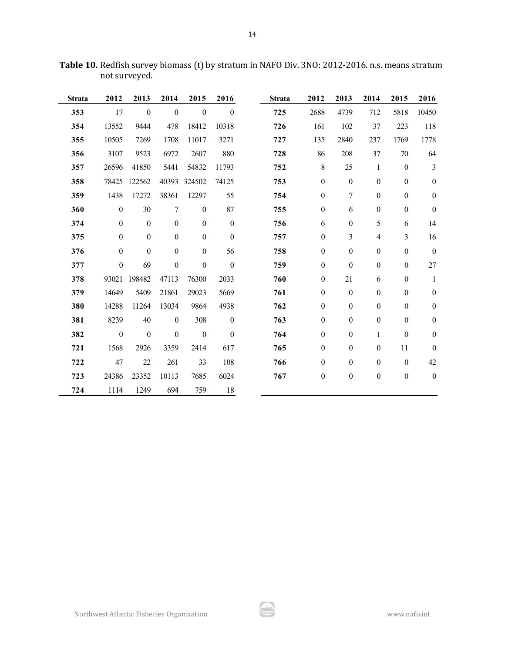| <b>Strata</b> | 2012             | 2013             | 2014             | 2015             | 2016             | <b>Strata</b> | 2012             | 2013             | 2014             | 2015             | 2016             |
|---------------|------------------|------------------|------------------|------------------|------------------|---------------|------------------|------------------|------------------|------------------|------------------|
| 353           | 17               | $\boldsymbol{0}$ | $\boldsymbol{0}$ | $\boldsymbol{0}$ | $\boldsymbol{0}$ | 725           | 2688             | 4739             | 712              | 5818             | 10450            |
| 354           | 13552            | 9444             | 478              | 18412            | 10318            | 726           | 161              | 102              | 37               | 223              | 118              |
| 355           | 10505            | 7269             | 1708             | 11017            | 3271             | 727           | 135              | 2840             | 237              | 1769             | 1778             |
| 356           | 3107             | 9523             | 6972             | 2607             | 880              | 728           | 86               | 208              | 37               | 70               | 64               |
| 357           | 26596            | 41850            | 5441             | 54832            | 11793            | 752           | $\,8\,$          | 25               | $\mathbf{1}$     | $\boldsymbol{0}$ | $\overline{3}$   |
| 358           | 78425            | 122562           | 40393            | 324502           | 74125            | 753           | $\boldsymbol{0}$ | $\boldsymbol{0}$ | $\boldsymbol{0}$ | $\boldsymbol{0}$ | $\boldsymbol{0}$ |
| 359           | 1438             | 17272            | 38361            | 12297            | 55               | 754           | $\boldsymbol{0}$ | $\boldsymbol{7}$ | $\boldsymbol{0}$ | $\boldsymbol{0}$ | $\boldsymbol{0}$ |
| 360           | $\boldsymbol{0}$ | 30               | $\tau$           | $\boldsymbol{0}$ | 87               | 755           | $\boldsymbol{0}$ | 6                | $\boldsymbol{0}$ | $\boldsymbol{0}$ | $\boldsymbol{0}$ |
| 374           | $\boldsymbol{0}$ | $\boldsymbol{0}$ | $\boldsymbol{0}$ | $\boldsymbol{0}$ | $\boldsymbol{0}$ | 756           | 6                | $\boldsymbol{0}$ | 5                | 6                | 14               |
| 375           | $\boldsymbol{0}$ | $\boldsymbol{0}$ | $\boldsymbol{0}$ | $\boldsymbol{0}$ | $\boldsymbol{0}$ | 757           | $\boldsymbol{0}$ | $\mathfrak{Z}$   | 4                | $\mathfrak{Z}$   | 16               |
| 376           | $\boldsymbol{0}$ | $\boldsymbol{0}$ | $\boldsymbol{0}$ | $\boldsymbol{0}$ | 56               | 758           | $\boldsymbol{0}$ | $\boldsymbol{0}$ | $\boldsymbol{0}$ | $\boldsymbol{0}$ | $\boldsymbol{0}$ |
| 377           | $\boldsymbol{0}$ | 69               | $\boldsymbol{0}$ | $\boldsymbol{0}$ | $\boldsymbol{0}$ | 759           | $\boldsymbol{0}$ | $\boldsymbol{0}$ | $\boldsymbol{0}$ | $\boldsymbol{0}$ | 27               |
| 378           | 93021            | 198482           | 47113            | 76300            | 2033             | 760           | $\boldsymbol{0}$ | 21               | 6                | $\boldsymbol{0}$ | $\mathbf{1}$     |
| 379           | 14649            | 5409             | 21861            | 29023            | 5669             | 761           | $\boldsymbol{0}$ | $\boldsymbol{0}$ | $\boldsymbol{0}$ | $\boldsymbol{0}$ | $\boldsymbol{0}$ |
| 380           | 14288            | 11264            | 13034            | 9864             | 4938             | 762           | $\boldsymbol{0}$ | $\boldsymbol{0}$ | $\boldsymbol{0}$ | $\boldsymbol{0}$ | $\boldsymbol{0}$ |
| 381           | 8239             | 40               | $\boldsymbol{0}$ | 308              | $\boldsymbol{0}$ | 763           | $\boldsymbol{0}$ | $\boldsymbol{0}$ | $\mathbf{0}$     | $\boldsymbol{0}$ | $\boldsymbol{0}$ |
| 382           | $\boldsymbol{0}$ | $\boldsymbol{0}$ | $\boldsymbol{0}$ | $\boldsymbol{0}$ | $\boldsymbol{0}$ | 764           | $\boldsymbol{0}$ | $\boldsymbol{0}$ | 1                | $\boldsymbol{0}$ | $\boldsymbol{0}$ |
| 721           | 1568             | 2926             | 3359             | 2414             | 617              | 765           | $\boldsymbol{0}$ | $\boldsymbol{0}$ | $\mathbf{0}$     | 11               | $\boldsymbol{0}$ |
| 722           | 47               | 22               | 261              | 33               | 108              | 766           | $\boldsymbol{0}$ | $\boldsymbol{0}$ | $\boldsymbol{0}$ | $\boldsymbol{0}$ | 42               |
| 723           | 24386            | 23352            | 10113            | 7685             | 6024             | 767           | $\boldsymbol{0}$ | $\boldsymbol{0}$ | $\boldsymbol{0}$ | $\boldsymbol{0}$ | $\boldsymbol{0}$ |
| 724           | 1114             | 1249             | 694              | 759              | 18               |               |                  |                  |                  |                  |                  |

**Table 10.** Redfish survey biomass (t) by stratum in NAFO Div. 3NO: 2012-2016. n.s. means stratum not surveyed.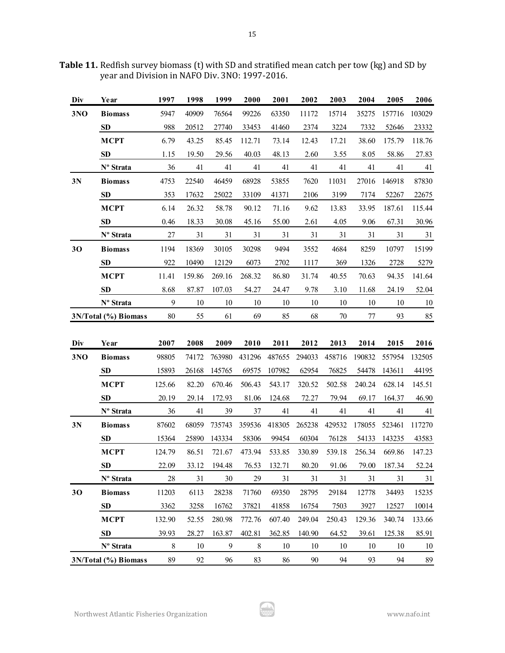| Div | Year                  | 1997    | 1998   | 1999   | 2000   | 2001                                                     | 2002   | 2003   | 2004   | 2005   | 2006   |
|-----|-----------------------|---------|--------|--------|--------|----------------------------------------------------------|--------|--------|--------|--------|--------|
| 3NO | <b>Biomass</b>        | 5947    | 40909  | 76564  | 99226  | 63350                                                    | 11172  | 15714  | 35275  | 157716 | 103029 |
|     | SD                    | 988     | 20512  | 27740  | 33453  | 41460                                                    | 2374   | 3224   | 7332   | 52646  | 23332  |
|     | <b>MCPT</b>           | 6.79    | 43.25  | 85.45  | 112.71 | 73.14                                                    | 12.43  | 17.21  | 38.60  | 175.79 | 118.76 |
|     | <b>SD</b>             | 1.15    | 19.50  | 29.56  | 40.03  | 48.13                                                    | 2.60   | 3.55   | 8.05   | 58.86  | 27.83  |
|     | Nº Strata             | 36      | 41     | 41     | 41     | 41                                                       | 41     | 41     | 41     | 41     | 41     |
| 3N  | <b>Biomass</b>        | 4753    | 22540  | 46459  | 68928  | 53855                                                    | 7620   | 11031  | 27016  | 146918 | 87830  |
|     | SD                    | 353     | 17632  | 25022  | 33109  | 41371                                                    | 2106   | 3199   | 7174   | 52267  | 22675  |
|     | <b>MCPT</b>           | 6.14    | 26.32  | 58.78  | 90.12  | 71.16                                                    | 9.62   | 13.83  | 33.95  | 187.61 | 115.44 |
|     | <b>SD</b>             | 0.46    | 18.33  | 30.08  | 45.16  | 55.00                                                    | 2.61   | 4.05   | 9.06   | 67.31  | 30.96  |
|     | Nº Strata             | $27\,$  | 31     | $31\,$ | 31     | 31                                                       | 31     | 31     | 31     | 31     | 31     |
| 30  | <b>Biomass</b>        | 1194    | 18369  | 30105  | 30298  | 9494                                                     | 3552   | 4684   | 8259   | 10797  | 15199  |
|     | <b>SD</b>             | 922     | 10490  | 12129  | 6073   | 2702                                                     | 1117   | 369    | 1326   | 2728   | 5279   |
|     | <b>MCPT</b>           | 11.41   | 159.86 | 269.16 | 268.32 | 86.80                                                    | 31.74  | 40.55  | 70.63  | 94.35  | 141.64 |
|     | <b>SD</b>             | 8.68    | 87.87  | 107.03 | 54.27  | 24.47                                                    | 9.78   | 3.10   | 11.68  | 24.19  | 52.04  |
|     | Nº Strata             | 9       | 10     | 10     | 10     | 10                                                       | 10     | 10     | 10     | 10     | 10     |
|     | 3N/Total (%) Biomass  | 80      | 55     | 61     | 69     | 85                                                       | 68     | 70     | 77     | 93     | 85     |
|     |                       |         |        |        |        |                                                          |        |        |        |        |        |
| Div | Year                  | 2007    | 2008   | 2009   | 2010   | 2011                                                     | 2012   | 2013   | 2014   | 2015   | 2016   |
| 3NO | <b>Biomass</b>        | 98805   | 74172  | 763980 | 431296 | 487655                                                   | 294033 | 458716 | 190832 | 557954 | 132505 |
|     | <b>SD</b>             | 15893   | 26168  | 145765 | 69575  | 107982                                                   | 62954  | 76825  | 54478  | 143611 | 44195  |
|     | <b>MCPT</b>           | 125.66  | 82.20  | 670.46 | 506.43 | 543.17                                                   | 320.52 | 502.58 | 240.24 | 628.14 | 145.51 |
|     | <b>SD</b>             |         |        |        |        |                                                          |        |        |        |        |        |
|     |                       | 20.19   | 29.14  | 172.93 | 81.06  | 124.68                                                   | 72.27  | 79.94  | 69.17  | 164.37 | 46.90  |
|     | Nº Strata             | 36      | 41     | 39     | 37     | 41                                                       | 41     | 41     | 41     | 41     | 41     |
| 3N  | <b>Biomass</b>        | 87602   | 68059  | 735743 | 359536 | 418305                                                   | 265238 | 429532 | 178055 | 523461 | 117270 |
|     | <b>SD</b>             | 15364   | 25890  | 143334 | 58306  | 99454                                                    | 60304  | 76128  | 54133  | 143235 | 43583  |
|     | <b>MCPT</b>           | 124.79  | 86.51  | 721.67 | 473.94 | 533.85                                                   | 330.89 | 539.18 | 256.34 | 669.86 | 147.23 |
|     | SD                    | 22.09   |        |        |        | 33.12 194.48 76.53 132.71 80.20 91.06 79.00 187.34 52.24 |        |        |        |        |        |
|     | N <sup>o</sup> Strata | 28      | 31     | 30     | 29     | 31                                                       | 31     | 31     | 31     | 31     | 31     |
| 30  | <b>Biomass</b>        | 11203   | 6113   | 28238  | 71760  | 69350                                                    | 28795  | 29184  | 12778  | 34493  | 15235  |
|     | <b>SD</b>             | 3362    | 3258   | 16762  | 37821  | 41858                                                    | 16754  | 7503   | 3927   | 12527  | 10014  |
|     | <b>MCPT</b>           | 132.90  | 52.55  | 280.98 | 772.76 | 607.40                                                   | 249.04 | 250.43 | 129.36 | 340.74 | 133.66 |
|     | <b>SD</b>             | 39.93   | 28.27  | 163.87 | 402.81 | 362.85                                                   | 140.90 | 64.52  | 39.61  | 125.38 | 85.91  |
|     | Nº Strata             | $\,8\,$ | 10     | 9      | $8\,$  | 10                                                       | 10     | 10     | 10     | 10     | 10     |

Table 11. Redfish survey biomass (t) with SD and stratified mean catch per tow (kg) and SD by year and Division in NAFO Div. 3NO: 1997-2016.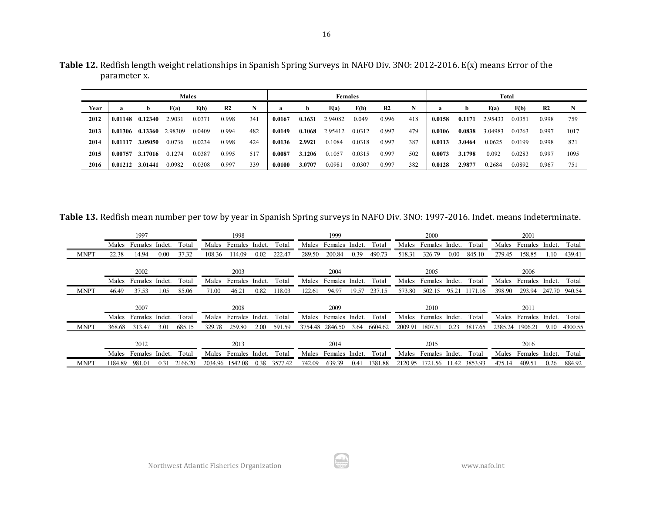|      |         |         |         | <b>Males</b> |                |     |        |        |         | <b>Females</b> |                |     |        |        |         | Total  |                |      |
|------|---------|---------|---------|--------------|----------------|-----|--------|--------|---------|----------------|----------------|-----|--------|--------|---------|--------|----------------|------|
| Year | a       | b       | E(a)    | E(b)         | R <sub>2</sub> | N   |        | b      | E(a)    | E(b)           | R <sub>2</sub> | N   | a      | b      | E(a)    | E(b)   | R <sub>2</sub> |      |
| 2012 | 0.01148 | 0.12340 | 2.9031  | 0.0371       | 0.998          | 341 | 0.0167 | 0.1631 | 2.94082 | 0.049          | 0.996          | 418 | 0.0158 | 0.1171 | 2.95433 | 0.0351 | 0.998          | 759  |
| 2013 | 0.01306 | 0.13360 | 2.98309 | 0.0409       | 0.994          | 482 | 0.0149 | 0.1068 | 2.95412 | 0.0312         | 0.997          | 479 | 0.0106 | 0.0838 | 3.04983 | 0.0263 | 0.997          | 1017 |
| 2014 | 0.01117 | 3.05050 | 0.0736  | 0.0234       | 0.998          | 424 | 0.0136 | 2.9921 | 0.1084  | 0.0318         | 0.997          | 387 | 0.0113 | 3.0464 | 0.0625  | 0.0199 | 0.998          | 821  |
| 2015 | 0.00757 | 3.17016 | 0.1274  | 0.0387       | 0.995          | 517 | 0.0087 | 3.1206 | 0.1057  | 0.0315         | 0.997          | 502 | 0.0073 | 3.1798 | 0.092   | 0.0283 | 0.997          | 1095 |
| 2016 | 0.01212 | 3.01441 | 0.0982  | 0.0308       | 0.997          | 339 | 0.0100 | 3.0707 | 0.0981  | 0.0307         | 0.997          | 382 | 0.0128 | 2.9877 | 0.2684  | 0.0892 | 0.967          | 751  |

**Table 12.** Redfish length weight relationships in Spanish Spring Surveys in NAFO Div. 3NO: 2012-2016. E(x) means Error of the parameter x.

**Table 13.** Redfish mean number per tow by year in Spanish Spring surveys in NAFO Div. 3NO: 1997-2016. Indet. means indeterminate.

|             | 1997                     |                  | 1998                 |        |        |        | 1999                 |        |         |         | 2000           |        |         |                            | 2001                 |        |               |
|-------------|--------------------------|------------------|----------------------|--------|--------|--------|----------------------|--------|---------|---------|----------------|--------|---------|----------------------------|----------------------|--------|---------------|
|             | Males Females<br>Indet.  | Total<br>Males   | Females              | Indet. | Total  | Males  | Females Indet.       |        | Total   | Males   | Females        | Indet. | Total   | Males<br>Indet.<br>Females |                      |        | Total         |
| <b>MNPT</b> | 0.00<br>22.38<br>14.94   | 37.32<br>108.36  | 114.09               | 0.02   | 222.47 | 289.50 | 200.84               | 0.39   | 490.73  | 518.31  | 326.79         | 0.00   | 845.10  | 279.45                     | 158.85               | 1.10   | 439.41        |
|             |                          |                  |                      |        |        |        |                      |        |         |         |                |        |         |                            |                      |        |               |
|             | 2002                     |                  | 2003                 |        |        |        | 2004                 |        |         |         | 2005           |        |         |                            | 2006                 |        |               |
|             | Males Females Indet.     | Males<br>Total   | Females              | Indet. | Total  | Males  | Females              | Indet. | Total   | Males   | Females        | Indet. | Total   | Males                      | Females              | Indet. | Total         |
| <b>MNPT</b> | 46.49<br>37.53<br>1.05   | 85.06<br>71.00   | 46.21                | 0.82   | 118.03 | 122.61 | 94.97                | 19.57  | 237.15  | 573.80  | 502.15         | 95.21  | 1171.16 | 398.90                     | 293.94               |        | 247.70 940.54 |
|             |                          |                  |                      |        |        |        |                      |        |         |         |                |        |         |                            |                      |        |               |
|             | 2007                     |                  | 2008                 |        |        |        | 2009                 |        |         |         | 2010           |        |         |                            | 2011                 |        |               |
|             | Males Females Indet.     | Total            | Males Females Indet. |        | Total  |        | Males Females Indet. |        | Total   | Males   | Females Indet. |        | Total   |                            | Males Females Indet. |        | Total         |
| <b>MNPT</b> | 313.47<br>3.01<br>368.68 | 329.78<br>685.15 | 259.80               | 2.00   | 591.59 |        | 3754.48 2846.50      | 3.64   | 6604.62 | 2009.91 | 1807.51        | 0.23   | 3817.65 | 2385.24                    | 1906.21              | 9.10   | 4300.55       |
|             |                          |                  |                      |        |        |        |                      |        |         |         |                |        |         |                            |                      |        |               |
|             | 2013<br>2012             |                  |                      |        |        | 2014   |                      |        |         | 2015    |                |        |         | 2016                       |                      |        |               |
|             | Males Females<br>Indet.  | Total<br>Males   | Females              | Indet. | Total  | Males  | Females Indet.       |        | Total   | Males   | Females        | Indet. | Total   | Males                      | Females              | Indet. | Total         |
|             |                          |                  |                      |        |        |        |                      |        |         |         |                |        |         |                            |                      |        |               |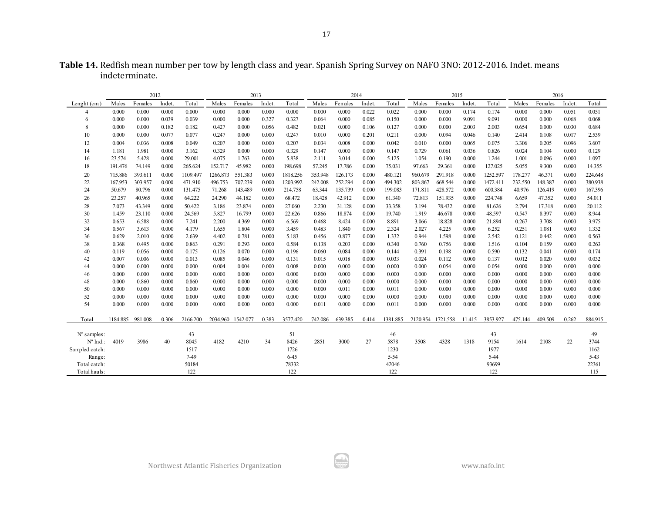| Table 14. Redfish mean number per tow by length class and year. Spanish Spring Survey on NAFO 3NO: 2012-2016. Indet. means |  |
|----------------------------------------------------------------------------------------------------------------------------|--|
| indeterminate.                                                                                                             |  |

|                      | 2012     |         |        |          |                   | 2013    |        |          |         | 2014    |        |          |          | 2015     |        |          |         | 2016    |        |         |
|----------------------|----------|---------|--------|----------|-------------------|---------|--------|----------|---------|---------|--------|----------|----------|----------|--------|----------|---------|---------|--------|---------|
| Lenght (cm.)         | Males    | Females | Indet. | Total    | Males             | Females | Indet. | Total    | Males   | Females | Indet. | Total    | Males    | Females  | Indet. | Total    | Males   | Females | Indet. | Total   |
|                      | 0.000    | 0.000   | 0.000  | 0.000    | 0.000             | 0.000   | 0.000  | 0.000    | 0.000   | 0.000   | 0.022  | 0.022    | 0.000    | 0.000    | 0.174  | 0.174    | 0.000   | 0.000   | 0.051  | 0.051   |
| 6                    | 0.000    | 0.000   | 0.039  | 0.039    | 0.000             | 0.000   | 0.327  | 0.327    | 0.064   | 0.000   | 0.085  | 0.150    | 0.000    | 0.000    | 9.091  | 9.091    | 0.000   | 0.000   | 0.068  | 0.068   |
|                      | 0.000    | 0.000   | 0.182  | 0.182    | 0.427             | 0.000   | 0.056  | 0.482    | 0.021   | 0.000   | 0.106  | 0.127    | 0.000    | 0.000    | 2.003  | 2.003    | 0.654   | 0.000   | 0.030  | 0.684   |
| 10                   | 0.000    | 0.000   | 0.077  | 0.077    | 0.247             | 0.000   | 0.000  | 0.247    | 0.010   | 0.000   | 0.201  | 0.211    | 0.000    | 0.094    | 0.046  | 0.140    | 2.414   | 0.108   | 0.017  | 2.539   |
| 12                   | 0.004    | 0.036   | 0.008  | 0.049    | 0.207             | 0.000   | 0.000  | 0.207    | 0.034   | 0.008   | 0.000  | 0.042    | 0.010    | 0.000    | 0.065  | 0.075    | 3.306   | 0.205   | 0.096  | 3.607   |
| 14                   | 1.181    | 1.981   | 0.000  | 3.162    | 0.329             | 0.000   | 0.000  | 0.329    | 0.147   | 0.000   | 0.000  | 0.147    | 0.729    | 0.061    | 0.036  | 0.826    | 0.024   | 0.104   | 0.000  | 0.129   |
| 16                   | 23.574   | 5.428   | 0.000  | 29.001   | 4.075             | 1.763   | 0.000  | 5.838    | 2.111   | 3.014   | 0.000  | 5.125    | 1.054    | 0.190    | 0.000  | 1.244    | 1.001   | 0.096   | 0.000  | 1.097   |
| 18                   | 191.476  | 74.149  | 0.000  | 265.624  | 152.717           | 45.982  | 0.000  | 198.698  | 57.245  | 17.786  | 0.000  | 75.031   | 97.663   | 29.361   | 0.000  | 127.025  | 5.055   | 9.300   | 0.000  | 14.355  |
| 20                   | 715.886  | 393.611 | 0.000  | 1109.497 | 1266.873          | 551.383 | 0.000  | 1818.256 | 353.948 | 126.173 | 0.000  | 480.121  | 960.679  | 291.918  | 0.000  | 1252.597 | 178.277 | 46.371  | 0.000  | 224.648 |
| 22                   | 167.953  | 303.957 | 0.000  | 471.910  | 496.753           | 707.239 | 0.000  | 1203.992 | 242.008 | 252.294 | 0.000  | 494.302  | 803.867  | 668.544  | 0.000  | 1472.411 | 232.550 | 148.387 | 0.000  | 380.938 |
| 24                   | 50.679   | 80.796  | 0.000  | 131.475  | 71.268            | 143.489 | 0.000  | 214.758  | 63.344  | 135.739 | 0.000  | 199.083  | 171.811  | 428.572  | 0.000  | 600.384  | 40.976  | 126.419 | 0.000  | 167.396 |
| 26                   | 23.257   | 40.965  | 0.000  | 64.222   | 24.290            | 44.182  | 0.000  | 68.472   | 18.428  | 42.912  | 0.000  | 61.340   | 72.813   | 151.935  | 0.000  | 224.748  | 6.659   | 47.352  | 0.000  | 54.011  |
| 28                   | 7.073    | 43.349  | 0.000  | 50.422   | 3.186             | 23.874  | 0.000  | 27.060   | 2.230   | 31.128  | 0.000  | 33.358   | 3.194    | 78.432   | 0.000  | 81.626   | 2.794   | 17.318  | 0.000  | 20.112  |
| 30                   | 1.459    | 23.110  | 0.000  | 24.569   | 5.827             | 16.799  | 0.000  | 22.626   | 0.866   | 18.874  | 0.000  | 19.740   | 1.919    | 46.678   | 0.000  | 48.597   | 0.547   | 8.397   | 0.000  | 8.944   |
| 32                   | 0.653    | 6.588   | 0.000  | 7.241    | 2.200             | 4.369   | 0.000  | 6.569    | 0.468   | 8.424   | 0.000  | 8.891    | 3.066    | 18.828   | 0.000  | 21.894   | 0.267   | 3.708   | 0.000  | 3.975   |
| 34                   | 0.567    | 3.613   | 0.000  | 4.179    | 1.655             | 1.804   | 0.000  | 3.459    | 0.483   | 1.840   | 0.000  | 2.324    | 2.027    | 4.225    | 0.000  | 6.252    | 0.251   | 1.081   | 0.000  | 1.332   |
| 36                   | 0.629    | 2.010   | 0.000  | 2.639    | 4.402             | 0.781   | 0.000  | 5.183    | 0.456   | 0.877   | 0.000  | 1.332    | 0.944    | 1.598    | 0.000  | 2.542    | 0.121   | 0.442   | 0.000  | 0.563   |
| 38                   | 0.368    | 0.495   | 0.000  | 0.863    | 0.291             | 0.293   | 0.000  | 0.584    | 0.138   | 0.203   | 0.000  | 0.340    | 0.760    | 0.756    | 0.000  | 1.516    | 0.104   | 0.159   | 0.000  | 0.263   |
| 40                   | 0.119    | 0.056   | 0.000  | 0.175    | 0.126             | 0.070   | 0.000  | 0.196    | 0.060   | 0.084   | 0.000  | 0.144    | 0.391    | 0.198    | 0.000  | 0.590    | 0.132   | 0.041   | 0.000  | 0.174   |
| 42                   | 0.007    | 0.006   | 0.000  | 0.013    | 0.085             | 0.046   | 0.000  | 0.131    | 0.015   | 0.018   | 0.000  | 0.033    | 0.024    | 0.112    | 0.000  | 0.137    | 0.012   | 0.020   | 0.000  | 0.032   |
| 44                   | 0.000    | 0.000   | 0.000  | 0.000    | 0.004             | 0.004   | 0.000  | 0.008    | 0.000   | 0.000   | 0.000  | 0.000    | 0.000    | 0.054    | 0.000  | 0.054    | 0.000   | 0.000   | 0.000  | 0.000   |
| 46                   | 0.000    | 0.000   | 0.000  | 0.000    | 0.000             | 0.000   | 0.000  | 0.000    | 0.000   | 0.000   | 0.000  | 0.000    | 0.000    | 0.000    | 0.000  | 0.000    | 0.000   | 0.000   | 0.000  | 0.000   |
| 48                   | 0.000    | 0.860   | 0.000  | 0.860    | 0.000             | 0.000   | 0.000  | 0.000    | 0.000   | 0.000   | 0.000  | 0.000    | 0.000    | 0.000    | 0.000  | 0.000    | 0.000   | 0.000   | 0.000  | 0.000   |
| 50                   | 0.000    | 0.000   | 0.000  | 0.000    | 0.000             | 0.000   | 0.000  | 0.000    | 0.000   | 0.011   | 0.000  | 0.011    | 0.000    | 0.000    | 0.000  | 0.000    | 0.000   | 0.000   | 0.000  | 0.000   |
| 52                   | 0.000    | 0.000   | 0.000  | 0.000    | 0.000             | 0.000   | 0.000  | 0.000    | 0.000   | 0.000   | 0.000  | 0.000    | 0.000    | 0.000    | 0.000  | 0.000    | 0.000   | 0.000   | 0.000  | 0.000   |
| 54                   | 0.000    | 0.000   | 0.000  | 0.000    | 0.000             | 0.000   | 0.000  | 0.000    | 0.011   | 0.000   | 0.000  | 0.011    | 0.000    | 0.000    | 0.000  | 0.000    | 0.000   | 0.000   | 0.000  | 0.000   |
| Total                |          |         | 0.306  |          |                   |         | 0.383  |          |         |         | 0.414  |          |          |          |        |          |         | 409.509 | 0.262  |         |
|                      | 1184.885 | 981.008 |        | 2166.200 | 2034.960 1542.077 |         |        | 3577.420 | 742.086 | 639.385 |        | 1381.885 | 2120.954 | 1721.558 | 11.415 | 3853.927 | 475.144 |         |        | 884.915 |
| $N^{\circ}$ samples: |          |         |        | 43       |                   |         |        | 51       |         |         |        | 46       |          |          |        | 43       |         |         |        | 49      |
| $N^{\circ}$ Ind.:    | 4019     | 3986    | 40     | 8045     | 4182              | 4210    | 34     | 8426     | 2851    | 3000    | 27     | 5878     | 3508     | 4328     | 1318   | 9154     | 1614    | 2108    | 22     | 3744    |
| Sampled catch:       |          |         |        | 1517     |                   |         |        | 1726     |         |         |        | 1230     |          |          |        | 1977     |         |         |        | 1162    |
| Range:               |          |         |        | 7-49     |                   |         |        | $6 - 45$ |         |         |        | 5-54     |          |          |        | $5 - 44$ |         |         |        | 5-43    |
| Total catch:         |          |         |        | 50184    |                   |         |        | 78332    |         |         |        | 42046    |          |          |        | 93699    |         |         |        | 22361   |
| Total hauls:         |          |         |        | 122      |                   |         |        | 122      |         |         |        | 122      |          |          |        | 122      |         |         |        | 115     |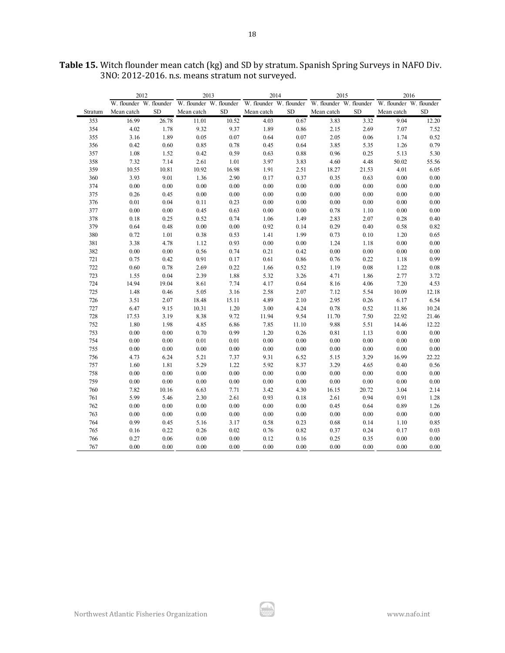|         | 2012                    |           | 2013                    |          | 2014                                            |           | 2015       |           | 2016                    |            |
|---------|-------------------------|-----------|-------------------------|----------|-------------------------------------------------|-----------|------------|-----------|-------------------------|------------|
|         | W. flounder W. flounder |           | W. flounder W. flounder |          | W. flounder W. flounder W. flounder W. flounder |           |            |           | W. flounder W. flounder |            |
| Stratum | Mean catch              | <b>SD</b> | Mean catch              | SD       | Mean catch                                      | <b>SD</b> | Mean catch | <b>SD</b> | Mean catch              | ${\rm SD}$ |
| 353     | 16.99                   | 26.78     | 11.01                   | 10.52    | 4.03                                            | 0.67      | 3.83       | 3.32      | 9.04                    | 12.20      |
| 354     | 4.02                    | 1.78      | 9.32                    | 9.37     | 1.89                                            | 0.86      | 2.15       | 2.69      | $7.07\,$                | 7.52       |
| 355     | 3.16                    | 1.89      | 0.05                    | 0.07     | 0.64                                            | 0.07      | 2.05       | 0.06      | 1.74                    | 0.52       |
| 356     | 0.42                    | 0.60      | 0.85                    | 0.78     | 0.45                                            | 0.64      | 3.85       | 5.35      | 1.26                    | 0.79       |
| 357     | 1.08                    | 1.52      | 0.42                    | 0.59     | 0.63                                            | 0.88      | 0.96       | 0.25      | 5.13                    | 5.30       |
| 358     | 7.32                    | 7.14      | 2.61                    | 1.01     | 3.97                                            | 3.83      | 4.60       | 4.48      | 50.02                   | 55.56      |
| 359     | 10.55                   | 10.81     | 10.92                   | 16.98    | 1.91                                            | 2.51      | 18.27      | 21.53     | 4.01                    | 6.05       |
| 360     | 3.93                    | 9.01      | 1.36                    | 2.90     | 0.17                                            | 0.37      | 0.35       | 0.63      | $0.00\,$                | $0.00\,$   |
| 374     | $0.00\,$                | 0.00      | $0.00\,$                | $0.00\,$ | $0.00\,$                                        | $0.00\,$  | $0.00\,$   | $0.00\,$  | 0.00                    | $0.00\,$   |
| 375     | 0.26                    | 0.45      | $0.00\,$                | $0.00\,$ | $0.00\,$                                        | $0.00\,$  | $0.00\,$   | 0.00      | $0.00\,$                | $0.00\,$   |
| 376     | $0.01\,$                | 0.04      | $0.11\,$                | 0.23     | $0.00\,$                                        | $0.00\,$  | $0.00\,$   | $0.00\,$  | $0.00\,$                | $0.00\,$   |
| 377     | $0.00\,$                | 0.00      | 0.45                    | 0.63     | $0.00\,$                                        | $0.00\,$  | 0.78       | 1.10      | $0.00\,$                | $0.00\,$   |
| 378     | 0.18                    | 0.25      | 0.52                    | 0.74     | 1.06                                            | 1.49      | 2.83       | 2.07      | 0.28                    | 0.40       |
| 379     | 0.64                    | 0.48      | $0.00\,$                | $0.00\,$ | 0.92                                            | 0.14      | 0.29       | 0.40      | 0.58                    | 0.82       |
| 380     | 0.72                    | 1.01      | 0.38                    | 0.53     | 1.41                                            | 1.99      | 0.73       | 0.10      | 1.20                    | 0.65       |
| 381     | 3.38                    | 4.78      | 1.12                    | 0.93     | $0.00\,$                                        | $0.00\,$  | 1.24       | 1.18      | 0.00                    | $0.00\,$   |
| 382     | $0.00\,$                | $0.00\,$  | 0.56                    | 0.74     | 0.21                                            | 0.42      | $0.00\,$   | $0.00\,$  | $0.00\,$                | $0.00\,$   |
| 721     | 0.75                    | 0.42      | 0.91                    | 0.17     | 0.61                                            | 0.86      | 0.76       | 0.22      | 1.18                    | 0.99       |
| 722     | 0.60                    | 0.78      | 2.69                    | 0.22     | 1.66                                            | 0.52      | 1.19       | $0.08\,$  | 1.22                    | $0.08\,$   |
| 723     | 1.55                    | 0.04      | 2.39                    | 1.88     | 5.32                                            | 3.26      | 4.71       | 1.86      | 2.77                    | 3.72       |
| 724     | 14.94                   | 19.04     | 8.61                    | 7.74     | 4.17                                            | 0.64      | 8.16       | 4.06      | 7.20                    | 4.53       |
| 725     | 1.48                    | 0.46      | 5.05                    | 3.16     | 2.58                                            | 2.07      | 7.12       | 5.54      | 10.09                   | 12.18      |
| 726     | 3.51                    | 2.07      | 18.48                   | 15.11    | 4.89                                            | 2.10      | 2.95       | 0.26      | 6.17                    | 6.54       |
| 727     | 6.47                    | 9.15      | 10.31                   | $1.20\,$ | 3.00                                            | 4.24      | 0.78       | 0.52      | 11.86                   | 10.24      |
| 728     | 17.53                   | 3.19      | 8.38                    | 9.72     | 11.94                                           | 9.54      | 11.70      | 7.50      | 22.92                   | 21.46      |
| 752     | 1.80                    | 1.98      | 4.85                    | 6.86     | 7.85                                            | 11.10     | 9.88       | 5.51      | 14.46                   | 12.22      |
| 753     | $0.00\,$                | $0.00\,$  | 0.70                    | 0.99     | 1.20                                            | 0.26      | 0.81       | 1.13      | $0.00\,$                | $0.00\,$   |
| 754     | 0.00                    | 0.00      | 0.01                    | 0.01     | $0.00\,$                                        | $0.00\,$  | $0.00\,$   | $0.00\,$  | 0.00                    | $0.00\,$   |
| 755     | $0.00\,$                | 0.00      | $0.00\,$                | $0.00\,$ | $0.00\,$                                        | $0.00\,$  | $0.00\,$   | $0.00\,$  | $0.00\,$                | $0.00\,$   |
| 756     | 4.73                    | 6.24      | 5.21                    | 7.37     | 9.31                                            | 6.52      | 5.15       | 3.29      | 16.99                   | 22.22      |
| 757     | 1.60                    | 1.81      | 5.29                    | 1.22     | 5.92                                            | 8.37      | 3.29       | 4.65      | 0.40                    | 0.56       |
| 758     | 0.00                    | 0.00      | 0.00                    | 0.00     | 0.00                                            | 0.00      | 0.00       | 0.00      | 0.00                    | $0.00\,$   |
| 759     | $0.00\,$                | $0.00\,$  | $0.00\,$                | $0.00\,$ | $0.00\,$                                        | $0.00\,$  | $0.00\,$   | $0.00\,$  | $0.00\,$                | $0.00\,$   |
| 760     | 7.82                    | 10.16     | 6.63                    | 7.71     | 3.42                                            | 4.30      | 16.15      | 20.72     | 3.04                    | 2.14       |
| 761     | 5.99                    | 5.46      | 2.30                    | 2.61     | 0.93                                            | 0.18      | 2.61       | 0.94      | 0.91                    | 1.28       |
| 762     | 0.00                    | 0.00      | 0.00                    | $0.00\,$ | $0.00\,$                                        | $0.00\,$  | 0.45       | 0.64      | 0.89                    | 1.26       |
| 763     | $0.00\,$                | $0.00\,$  | $0.00\,$                | $0.00\,$ | $0.00\,$                                        | $0.00\,$  | $0.00\,$   | $0.00\,$  | $0.00\,$                | $0.00\,$   |
| 764     | 0.99                    | 0.45      | 5.16                    | 3.17     | 0.58                                            | 0.23      | 0.68       | 0.14      | 1.10                    | 0.85       |
| 765     | $0.16\,$                | 0.22      | 0.26                    | 0.02     | $0.76\,$                                        | 0.82      | 0.37       | 0.24      | 0.17                    | 0.03       |
| 766     | 0.27                    | 0.06      | 0.00                    | 0.00     | 0.12                                            | 0.16      | 0.25       | 0.35      | 0.00                    | 0.00       |
| 767     | 0.00                    | 0.00      | 0.00                    | 0.00     | 0.00                                            | 0.00      | 0.00       | 0.00      | 0.00                    | 0.00       |

ار ش.<br>محمد

**Table 15.** Witch flounder mean catch (kg) and SD by stratum. Spanish Spring Surveys in NAFO Div. 3NO: 2012-2016. n.s. means stratum not surveyed.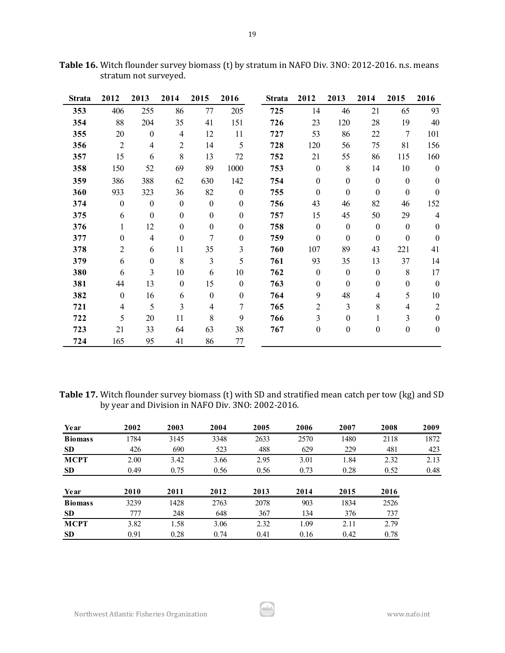| Strata | 2012           | 2013                     | 2014             | 2015             | 2016             | <b>Strata</b> | 2012             | 2013             | 2014             | 2015             | 2016             |
|--------|----------------|--------------------------|------------------|------------------|------------------|---------------|------------------|------------------|------------------|------------------|------------------|
| 353    | 406            | 255                      | 86               | 77               | 205              | 725           | 14               | 46               | 21               | 65               | 93               |
| 354    | 88             | 204                      | 35               | 41               | 151              | 726           | 23               | 120              | 28               | 19               | 40               |
| 355    | 20             | $\boldsymbol{0}$         | $\overline{4}$   | 12               | 11               | 727           | 53               | 86               | 22               | $\tau$           | 101              |
| 356    | $\overline{2}$ | $\overline{\mathcal{A}}$ | $\overline{2}$   | 14               | 5                | 728           | 120              | 56               | 75               | 81               | 156              |
| 357    | 15             | 6                        | 8                | 13               | 72               | 752           | 21               | 55               | 86               | 115              | 160              |
| 358    | 150            | 52                       | 69               | 89               | 1000             | 753           | $\boldsymbol{0}$ | $8\,$            | 14               | 10               | $\boldsymbol{0}$ |
| 359    | 386            | 388                      | 62               | 630              | 142              | 754           | $\boldsymbol{0}$ | $\boldsymbol{0}$ | $\boldsymbol{0}$ | $\boldsymbol{0}$ | $\boldsymbol{0}$ |
| 360    | 933            | 323                      | 36               | 82               | $\mathbf{0}$     | 755           | $\boldsymbol{0}$ | $\boldsymbol{0}$ | $\boldsymbol{0}$ | $\boldsymbol{0}$ | $\boldsymbol{0}$ |
| 374    | $\mathbf{0}$   | $\boldsymbol{0}$         | $\boldsymbol{0}$ | $\boldsymbol{0}$ | $\mathbf{0}$     | 756           | 43               | 46               | 82               | 46               | 152              |
| 375    | 6              | $\boldsymbol{0}$         | $\boldsymbol{0}$ | $\boldsymbol{0}$ | $\boldsymbol{0}$ | 757           | 15               | 45               | 50               | 29               | $\overline{4}$   |
| 376    | 1              | 12                       | $\boldsymbol{0}$ | $\boldsymbol{0}$ | $\boldsymbol{0}$ | 758           | $\boldsymbol{0}$ | $\boldsymbol{0}$ | $\boldsymbol{0}$ | $\boldsymbol{0}$ | $\boldsymbol{0}$ |
| 377    | $\mathbf{0}$   | $\overline{4}$           | $\boldsymbol{0}$ | 7                | $\boldsymbol{0}$ | 759           | $\boldsymbol{0}$ | $\boldsymbol{0}$ | $\boldsymbol{0}$ | $\boldsymbol{0}$ | $\mathbf{0}$     |
| 378    | $\overline{2}$ | 6                        | 11               | 35               | 3                | 760           | 107              | 89               | 43               | 221              | 41               |
| 379    | 6              | $\boldsymbol{0}$         | 8                | 3                | 5                | 761           | 93               | 35               | 13               | 37               | 14               |
| 380    | 6              | 3                        | 10               | 6                | 10               | 762           | $\boldsymbol{0}$ | $\boldsymbol{0}$ | $\boldsymbol{0}$ | 8                | 17               |
| 381    | 44             | 13                       | $\boldsymbol{0}$ | 15               | $\boldsymbol{0}$ | 763           | $\boldsymbol{0}$ | $\boldsymbol{0}$ | $\boldsymbol{0}$ | $\boldsymbol{0}$ | $\boldsymbol{0}$ |
| 382    | $\mathbf{0}$   | 16                       | 6                | $\boldsymbol{0}$ | $\mathbf{0}$     | 764           | 9                | 48               | 4                | 5                | 10               |
| 721    | $\overline{4}$ | 5                        | 3                | $\overline{4}$   | 7                | 765           | $\overline{2}$   | 3                | 8                | 4                | $\overline{2}$   |
| 722    | 5              | 20                       | 11               | 8                | 9                | 766           | 3                | $\boldsymbol{0}$ | 1                | 3                | $\boldsymbol{0}$ |
| 723    | 21             | 33                       | 64               | 63               | 38               | 767           | $\boldsymbol{0}$ | $\boldsymbol{0}$ | $\boldsymbol{0}$ | $\boldsymbol{0}$ | $\boldsymbol{0}$ |
| 724    | 165            | 95                       | 41               | 86               | 77               |               |                  |                  |                  |                  |                  |

**Table 16.** Witch flounder survey biomass (t) by stratum in NAFO Div. 3NO: 2012-2016. n.s. means stratum not surveyed.

**Table 17.** Witch flounder survey biomass (t) with SD and stratified mean catch per tow (kg) and SD by year and Division in NAFO Div. 3NO: 2002-2016.

| Year           | 2002 | 2003 | 2004 | 2005 | 2006 | 2007 | 2008 | 2009 |
|----------------|------|------|------|------|------|------|------|------|
| <b>Biomass</b> | 1784 | 3145 | 3348 | 2633 | 2570 | 1480 | 2118 | 1872 |
| <b>SD</b>      | 426  | 690  | 523  | 488  | 629  | 229  | 481  | 423  |
| <b>MCPT</b>    | 2.00 | 3.42 | 3.66 | 2.95 | 3.01 | 1.84 | 2.32 | 2.13 |
| <b>SD</b>      | 0.49 | 0.75 | 0.56 | 0.56 | 0.73 | 0.28 | 0.52 | 0.48 |
| Year           | 2010 | 2011 | 2012 | 2013 | 2014 | 2015 | 2016 |      |
| <b>Biomass</b> | 3239 | 1428 | 2763 | 2078 | 903  | 1834 | 2526 |      |
| <b>SD</b>      | 777  | 248  | 648  | 367  | 134  | 376  | 737  |      |
| <b>MCPT</b>    | 3.82 | 1.58 | 3.06 | 2.32 | 1.09 | 2.11 | 2.79 |      |
| <b>SD</b>      | 0.91 | 0.28 | 0.74 | 0.41 | 0.16 | 0.42 | 0.78 |      |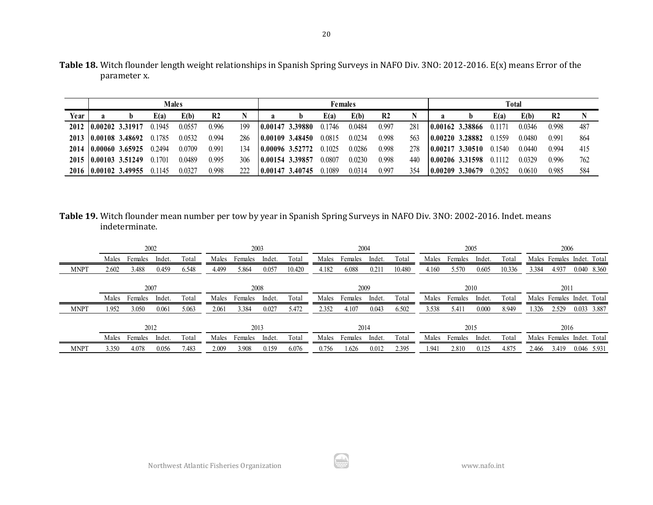| Table 18. Witch flounder length weight relationships in Spanish Spring Surveys in NAFO Div. 3NO: 2012-2016. E(x) means Error of the |  |
|-------------------------------------------------------------------------------------------------------------------------------------|--|
| parameter x.                                                                                                                        |  |

|      |                      |                             | <b>Males</b> |        |                |     | <b>Females</b>  |                  |        |        |                |     |  | Total              |        |        |                |      |  |  |  |
|------|----------------------|-----------------------------|--------------|--------|----------------|-----|-----------------|------------------|--------|--------|----------------|-----|--|--------------------|--------|--------|----------------|------|--|--|--|
| Year | a                    |                             | E(a)         | E(b)   | R <sub>2</sub> |     |                 |                  | E(a)   | E(b)   | R <sub>2</sub> |     |  |                    | E(a)   | E(b)   | R <sub>2</sub> |      |  |  |  |
|      | 2012 0.00202 3.31917 |                             | 0.1945       | 0.0557 | 0.996          | 199 |                 | 10.00147 3.39880 | 0.1746 | 0.0484 | 0.997          | 281 |  | $10.00162$ 3.38866 | 0.1171 | 0.0346 | 0.998          | -487 |  |  |  |
|      |                      | 2013 0.00108 3.48692 0.1785 |              | 0.0532 | 0.994          | 286 |                 | 0.00109 3.48450  | 0.0815 | 0.0234 | 0.998          | 563 |  | $10.00220$ 3.28882 | 0.1559 | 0.0480 | 0.991          | -864 |  |  |  |
|      |                      | 2014 0.00060 3.65925        | 0.2494       | 0.0709 | 0.991          | 134 |                 | 10.00096 3.52772 | 0.1025 | 0.0286 | 0.998          | 278 |  | $10.00217$ 3.30510 | 0.1540 | 0.0440 | 0.994          | 415  |  |  |  |
|      | 2015 0.00103 3.51249 |                             | 0.1701       | 0.0489 | 0.995          | 306 | 0.00154 3.39857 |                  | 0.0807 | 0.0230 | 0.998          | 440 |  | $10.00206$ 3.31598 | 0.1112 | 0.0329 | 0.996          | 762  |  |  |  |
|      | 2016 0.00102 3.49955 |                             | 0.1145       | 0.0327 | 0.998          | 222 |                 | 0.00147 3.40745  | 0.1089 | 0.0314 | 0.997          | 354 |  | 10.00209 3.30679   | 0.2052 | 0.0610 | 0.985          | .584 |  |  |  |

**Table 19.** Witch flounder mean number per tow by year in Spanish Spring Surveys in NAFO Div. 3NO: 2002-2016. Indet. means indeterminate.

|             | 2002                                                                    |         |        |       |         | 2003    |        |        |         | 2004    |        |        | 2005                       |         |        |        | 2006                       |                            |             |  |
|-------------|-------------------------------------------------------------------------|---------|--------|-------|---------|---------|--------|--------|---------|---------|--------|--------|----------------------------|---------|--------|--------|----------------------------|----------------------------|-------------|--|
|             | Males                                                                   | Females | Indet. | Total | Males   | Females | Indet. | Total  | Males   | Females | Indet. | Total  | Males                      | Females | Indet. | Total  | Males Females Indet. Total |                            |             |  |
| <b>MNPT</b> | 2.602                                                                   | 3.488   | 0.459  | 6.548 | 4.499   | 5.864   | 0.057  | 10.420 | 4.182   | 6.088   | 0.211  | 10.480 | 4.160                      | 5.570   | 0.605  | 10.336 | 3.384                      | 4.937                      | 0.040 8.360 |  |
|             |                                                                         | 2007    |        |       |         | 2008    |        |        |         | 2009    |        |        |                            | 2011    |        |        |                            |                            |             |  |
|             | Indet.<br>Males<br>Total<br>Males Females<br>Total<br>Indet.<br>Females |         |        | Males | Females | Indet.  | Total  | Males  | Females | Indet.  | Total  |        | Males Females Indet. Total |         |        |        |                            |                            |             |  |
| <b>MNPT</b> | 1.952                                                                   | 3.050   | 0.061  | 5.063 | 2.061   | 3.384   | 0.027  | 5.472  | 2.352   | 4.107   | 0.043  | 6.502  | 3.538                      | 5.411   | 0.000  | 8.949  | .326                       | 2.529                      | 0.033 3.887 |  |
|             |                                                                         | 2012    |        |       |         | 2013    |        |        |         | 2014    |        |        |                            | 2015    |        |        |                            | 2016                       |             |  |
|             | Males                                                                   | Females | Indet. | Total | Males   | Females | Indet. | Total  | Males   | Females | Indet. | Total  | Males                      | Females | Indet. | Total  |                            | Males Females Indet. Total |             |  |
| <b>MNPT</b> | 3.350                                                                   | 4.078   | 0.056  | 7.483 | 2.009   | 3.908   | 0.159  | 6.076  | 0.756   | .626    | 0.012  | 2.395  | 1.941                      | 2.810   | 0.125  | 4.875  | 2.466                      | 3.419                      | 0.046 5.931 |  |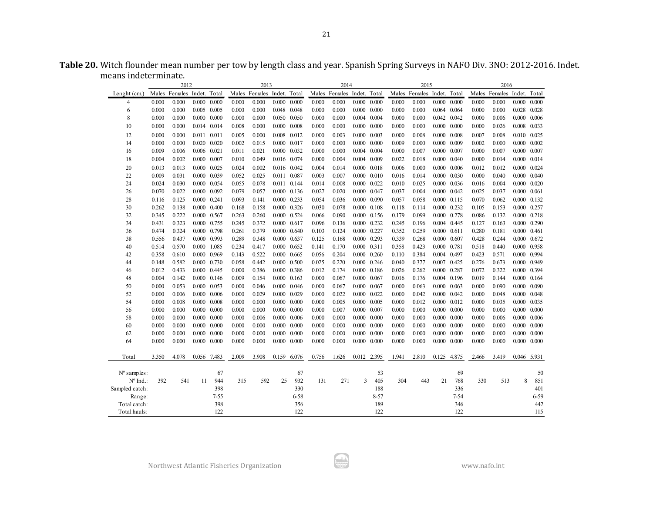| Table 20. Witch flounder mean number per tow by length class and year. Spanish Spring Surveys in NAFO Div. 3NO: 2012-2016. Indet. |  |
|-----------------------------------------------------------------------------------------------------------------------------------|--|
| means indeterminate.                                                                                                              |  |

|                | 2012  |                            |       |                     | 2013  |                            |                     |                     | 2014  |                            |             |                     | 2015  |                            |       |                     | 2016      |                            |       |                 |
|----------------|-------|----------------------------|-------|---------------------|-------|----------------------------|---------------------|---------------------|-------|----------------------------|-------------|---------------------|-------|----------------------------|-------|---------------------|-----------|----------------------------|-------|-----------------|
| Lenght (cm.)   |       | Males Females Indet. Total |       |                     |       | Males Females Indet. Total |                     |                     |       | Males Females Indet. Total |             |                     |       | Males Females Indet. Total |       |                     |           | Males Females Indet. Total |       |                 |
| 4              | 0.000 | 0.000                      |       | $0.000 \quad 0.000$ | 0.000 | 0.000                      | 0.000               | 0.000               | 0.000 | 0.000                      |             | $0.000 \quad 0.000$ | 0.000 | 0.000                      | 0.000 | 0.000               | 0.000     | 0.000                      | 0.000 | 0.000           |
| 6              | 0.000 | 0.000                      |       | $0.005$ 0.005       | 0.000 | 0.000                      | 0.048 0.048         |                     | 0.000 | 0.000                      |             | $0.000 \quad 0.000$ | 0.000 | 0.000                      |       | 0.064 0.064         | $0.000\,$ | 0.000                      | 0.028 | 0.028           |
| 8              | 0.000 | 0.000                      |       | $0.000 \quad 0.000$ | 0.000 | 0.000                      |                     | 0.050 0.050         | 0.000 | 0.000                      |             | 0.004 0.004         | 0.000 | 0.000                      |       | 0.042 0.042         | 0.000     | 0.006                      | 0.000 | 0.006           |
| 10             | 0.000 | 0.000                      |       | 0.014 0.014         | 0.008 | 0.000                      | 0.000               | 0.008               | 0.000 | 0.000                      |             | $0.000 \quad 0.000$ | 0.000 | 0.000                      |       | $0.000 \quad 0.000$ | 0.000     | 0.026                      | 0.008 | 0.033           |
| 12             | 0.000 | 0.000                      |       | 0.011 0.011         | 0.005 | 0.000                      | 0.008               | 0.012               | 0.000 | 0.003                      |             | $0.000 \quad 0.003$ | 0.000 | 0.008                      | 0.000 | 0.008               | 0.007     | 0.008                      | 0.010 | 0.025           |
| 14             | 0.000 | 0.000                      |       | $0.020$ $0.020$     | 0.002 | 0.015                      | $0.000 \quad 0.017$ |                     | 0.000 | 0.000                      |             | $0.000 \quad 0.000$ | 0.009 | 0.000                      | 0.000 | 0.009               | 0.002     | 0.000                      | 0.000 | 0.002           |
| 16             | 0.009 | 0.006                      |       | 0.006 0.021         | 0.011 | 0.021                      |                     | $0.000 \quad 0.032$ | 0.000 | 0.000                      |             | $0.004$ 0.004       | 0.000 | 0.007                      | 0.000 | 0.007               | 0.000     | 0.007                      | 0.000 | 0.007           |
| 18             | 0.004 | 0.002                      |       | $0.000 \quad 0.007$ | 0.010 | 0.049                      | 0.016 0.074         |                     | 0.000 | 0.004                      |             | 0.004 0.009         | 0.022 | 0.018                      | 0.000 | 0.040               | 0.000     | 0.014                      | 0.000 | 0.014           |
| 20             | 0.013 | 0.013                      |       | $0.000 \quad 0.025$ | 0.024 | 0.002                      |                     | 0.016 0.042         | 0.004 | 0.014                      |             | $0.000 \quad 0.018$ | 0.006 | 0.000                      |       | $0.000 \quad 0.006$ | 0.012     | 0.012                      | 0.000 | 0.024           |
| 22             | 0.009 | 0.031                      |       | 0.000 0.039         | 0.052 | 0.025                      | 0.011               | 0.087               | 0.003 | 0.007                      |             | $0.000 \quad 0.010$ | 0.016 | 0.014                      | 0.000 | 0.030               | 0.000     | 0.040                      | 0.000 | 0.040           |
| 24             | 0.024 | 0.030                      |       | 0.000 0.054         | 0.055 | 0.078                      |                     | 0.011 0.144         | 0.014 | 0.008                      |             | $0.000 \quad 0.022$ | 0.010 | 0.025                      | 0.000 | 0.036               | 0.016     | 0.004                      | 0.000 | 0.020           |
| 26             | 0.070 | 0.022                      |       | $0.000 \quad 0.092$ | 0.079 | 0.057                      |                     | $0.000 \quad 0.136$ | 0.027 | 0.020                      |             | 0.000 0.047         | 0.037 | 0.004                      | 0.000 | 0.042               | 0.025     | 0.037                      | 0.000 | 0.061           |
| 28             | 0.116 | 0.125                      |       | 0.000 0.241         | 0.093 | 0.141                      | $0.000 \quad 0.233$ |                     | 0.054 | 0.036                      |             | $0.000 \quad 0.090$ | 0.057 | 0.058                      | 0.000 | 0.115               | 0.070     | 0.062                      | 0.000 | 0.132           |
| 30             | 0.262 | 0.138                      |       | $0.000 \quad 0.400$ | 0.168 | 0.158                      |                     | 0.000 0.326         | 0.030 | 0.078                      |             | $0.000 \quad 0.108$ | 0.118 | 0.114                      | 0.000 | 0.232               | 0.105     | 0.153                      | 0.000 | 0.257           |
| 32             | 0.345 | 0.222                      |       | 0.000 0.567         | 0.263 | 0.260                      |                     | 0.000 0.524         | 0.066 | 0.090                      |             | 0.000 0.156         | 0.179 | 0.099                      | 0.000 | 0.278               | 0.086     | 0.132                      | 0.000 | 0.218           |
| 34             | 0.431 | 0.323                      |       | 0.000 0.755         | 0.245 | 0.372                      |                     | 0.000 0.617         | 0.096 | 0.136                      |             | $0.000 \quad 0.232$ | 0.245 | 0.196                      |       | 0.004 0.445         | 0.127     | 0.163                      | 0.000 | 0.290           |
| 36             | 0.474 | 0.324                      |       | 0.000 0.798         | 0.261 | 0.379                      | 0.000               | 0.640               | 0.103 | 0.124                      |             | 0.000 0.227         | 0.352 | 0.259                      |       | $0.000 \quad 0.611$ | 0.280     | 0.181                      |       | $0.000$ $0.461$ |
| 38             | 0.556 | 0.437                      |       | 0.000 0.993         | 0.289 | 0.348                      | 0.000               | 0.637               | 0.125 | 0.168                      |             | 0.000 0.293         | 0.339 | 0.268                      |       | $0.000 \quad 0.607$ | 0.428     | 0.244                      | 0.000 | 0.672           |
| 40             | 0.514 | 0.570                      |       | 0.000 1.085         | 0.234 | 0.417                      | 0.000               | 0.652               | 0.141 | 0.170                      | 0.000 0.311 |                     | 0.358 | 0.423                      |       | 0.000 0.781         | 0.518     | 0.440                      | 0.000 | 0.958           |
| 42             | 0.358 | 0.610                      |       | 0.000 0.969         | 0.143 | 0.522                      |                     | $0.000 \quad 0.665$ | 0.056 | 0.204                      |             | $0.000 \quad 0.260$ | 0.110 | 0.384                      |       | 0.004 0.497         | 0.423     | 0.571                      | 0.000 | 0.994           |
| 44             | 0.148 | 0.582                      |       | 0.000 0.730         | 0.058 | 0.442                      |                     | $0.000 \quad 0.500$ | 0.025 | 0.220                      |             | $0.000 \quad 0.246$ | 0.040 | 0.377                      |       | 0.007 0.425         | 0.276     | 0.673                      | 0.000 | 0.949           |
| 46             | 0.012 | 0.433                      |       | $0.000 \quad 0.445$ | 0.000 | 0.386                      | 0.000               | 0.386               | 0.012 | 0.174                      |             | $0.000 \quad 0.186$ | 0.026 | 0.262                      | 0.000 | 0.287               | 0.072     | 0.322                      | 0.000 | 0.394           |
| 48             | 0.004 | 0.142                      |       | $0.000 \quad 0.146$ | 0.009 | 0.154                      | $0.000 \quad 0.163$ |                     | 0.000 | 0.067                      |             | 0.000 0.067         | 0.016 | 0.176                      |       | 0.004 0.196         | 0.019     | 0.144                      | 0.000 | 0.164           |
| 50             | 0.000 | 0.053                      |       | 0.000 0.053         | 0.000 | 0.046                      |                     | $0.000 \quad 0.046$ | 0.000 | 0.067                      |             | 0.000 0.067         | 0.000 | 0.063                      | 0.000 | 0.063               | 0.000     | 0.090                      | 0.000 | 0.090           |
| 52             | 0.000 | 0.006                      |       | $0.000 \quad 0.006$ | 0.000 | 0.029                      |                     | $0.000 \quad 0.029$ | 0.000 | 0.022                      |             | $0.000 \quad 0.022$ | 0.000 | 0.042                      | 0.000 | 0.042               | 0.000     | 0.048                      | 0.000 | 0.048           |
| 54             | 0.000 | 0.008                      |       | $0.000 \quad 0.008$ | 0.000 | 0.000                      |                     | $0.000 \quad 0.000$ | 0.000 | 0.005                      |             | $0.000 \quad 0.005$ | 0.000 | 0.012                      | 0.000 | 0.012               | 0.000     | 0.035                      | 0.000 | 0.035           |
| 56             | 0.000 | 0.000                      |       | $0.000 \quad 0.000$ | 0.000 | 0.000                      | 0.000               | 0.000               | 0.000 | 0.007                      |             | 0.000 0.007         | 0.000 | 0.000                      | 0.000 | 0.000               | 0.000     | 0.000                      | 0.000 | 0.000           |
| 58             | 0.000 | 0.000                      |       | $0.000 \quad 0.000$ | 0.000 | 0.006                      | 0.000               | 0.006               | 0.000 | 0.000                      |             | $0.000 \quad 0.000$ | 0.000 | 0.000                      | 0.000 | 0.000               | 0.000     | 0.006                      | 0.000 | 0.006           |
| 60             | 0.000 | 0.000                      | 0.000 | 0.000               | 0.000 | 0.000                      | 0.000               | 0.000               | 0.000 | 0.000                      |             | $0.000 \quad 0.000$ | 0.000 | 0.000                      | 0.000 | 0.000               | 0.000     | 0.000                      | 0.000 | 0.000           |
| 62             | 0.000 | 0.000                      | 0.000 | 0.000               | 0.000 | 0.000                      | 0.000               | 0.000               | 0.000 | 0.000                      |             | $0.000 \quad 0.000$ | 0.000 | 0.000                      | 0.000 | 0.000               | 0.000     | 0.000                      | 0.000 | 0.000           |
| 64             | 0.000 | 0.000                      |       | $0.000 \quad 0.000$ | 0.000 | 0.000                      | 0.000               | 0.000               | 0.000 | 0.000                      |             | $0.000 \quad 0.000$ | 0.000 | 0.000                      | 0.000 | 0.000               | 0.000     | 0.000                      | 0.000 | 0.000           |
| Total          | 3.350 | 4.078                      |       | 0.056 7.483         | 2.009 | 3.908                      |                     | 0.159 6.076         | 0.756 | 1.626                      |             | 0.012 2.395         | 1.941 | 2.810                      |       | 0.125 4.875         | 2.466     | 3.419                      |       | 0.046 5.931     |
| N° samples:    |       |                            |       | 67                  |       |                            |                     | 67                  |       |                            |             | 53                  |       |                            |       | 69                  |           |                            |       | 50              |
| N° Ind.:       | 392   | 541                        | 11    | 944                 | 315   | 592                        | 25                  | 932                 | 131   | 271                        | 3           | 405                 | 304   | 443                        | 21    | 768                 | 330       | 513                        | 8     | 851             |
| Sampled catch: |       |                            |       | 398                 |       |                            |                     | 330                 |       |                            |             | 188                 |       |                            |       | 336                 |           |                            |       | 401             |
| Range:         |       |                            |       | $7 - 55$            |       |                            |                     | 6-58                |       |                            |             | $8 - 57$            |       |                            |       | 7-54                |           |                            |       | $6 - 59$        |
| Total catch:   |       |                            |       | 398                 |       |                            |                     | 356                 |       |                            |             | 189                 |       |                            |       | 346                 |           |                            |       | 442             |
| Total hauls:   |       |                            |       | 122                 |       |                            |                     | 122                 |       |                            |             | 122                 |       |                            |       | 122                 |           |                            |       | 115             |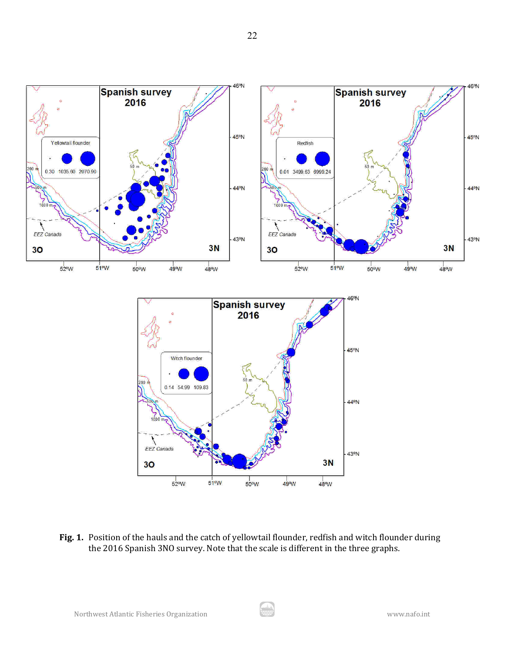

**Fig. 1.** Position of the hauls and the catch of yellowtail flounder, redfish and witch flounder during the 2016 Spanish 3NO survey. Note that the scale is different in the three graphs.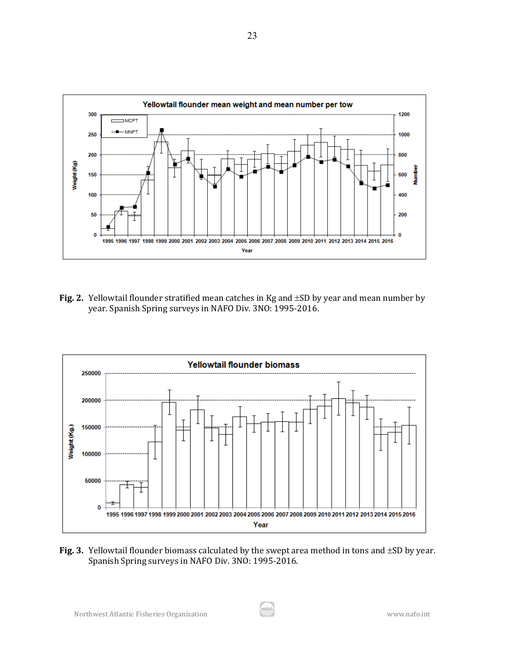

**Fig. 2.** Yellowtail flounder stratified mean catches in Kg and ±SD by year and mean number by year. Spanish Spring surveys in NAFO Div. 3NO: 1995-2016.



**Fig. 3.** Yellowtail flounder biomass calculated by the swept area method in tons and ±SD by year. Spanish Spring surveys in NAFO Div. 3NO: 1995-2016.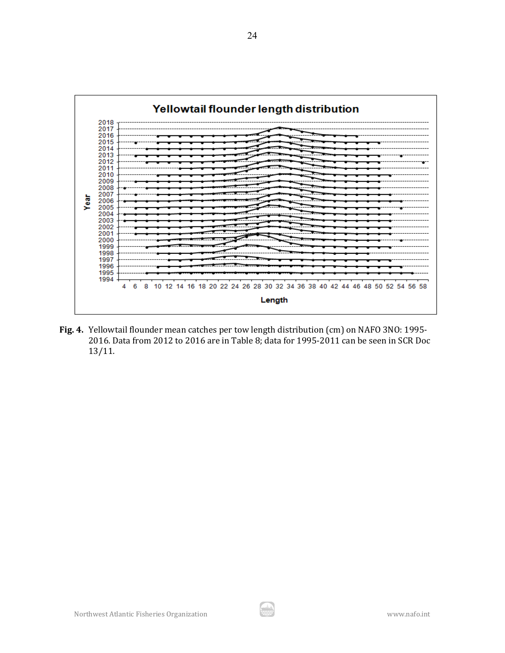

**Fig. 4.** Yellowtail flounder mean catches per tow length distribution (cm) on NAFO 3NO: 1995- 2016. Data from 2012 to 2016 are in Table 8; data for 1995-2011 can be seen in SCR Doc 13/11.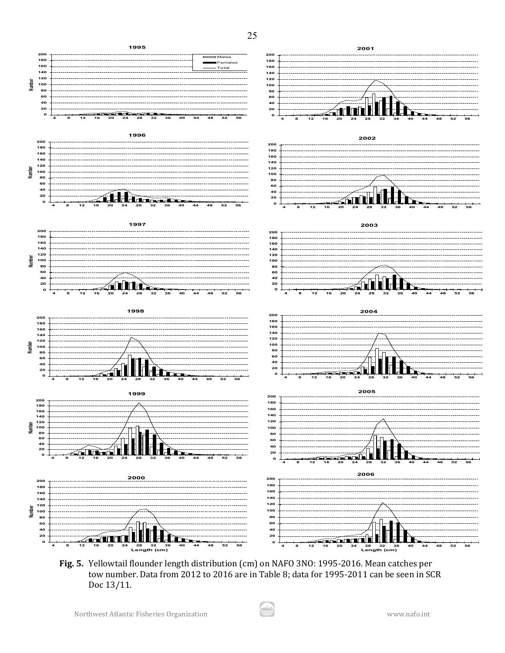

**Fig. 5.** Yellowtail flounder length distribution (cm) on NAFO 3NO: 1995-2016. Mean catches per tow number. Data from 2012 to 2016 are in Table 8; data for 1995-2011 can be seen in SCR Doc 13/11.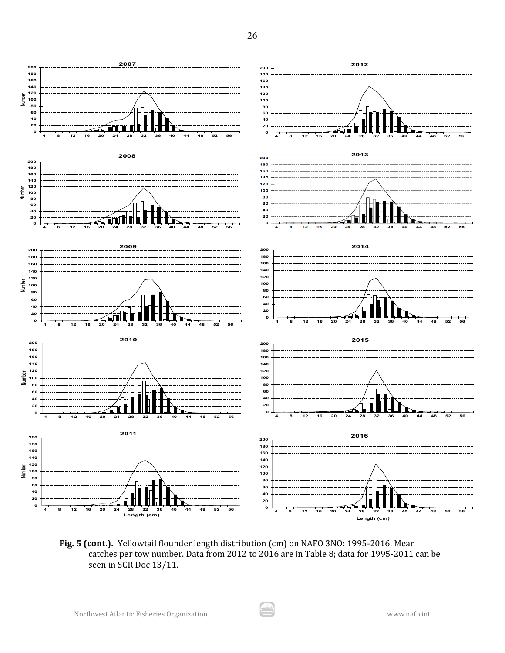

**Fig. 5 (cont.).** Yellowtail flounder length distribution (cm) on NAFO 3NO: 1995-2016. Mean catches per tow number. Data from 2012 to 2016 are in Table 8; data for 1995-2011 can be seen in SCR Doc 13/11.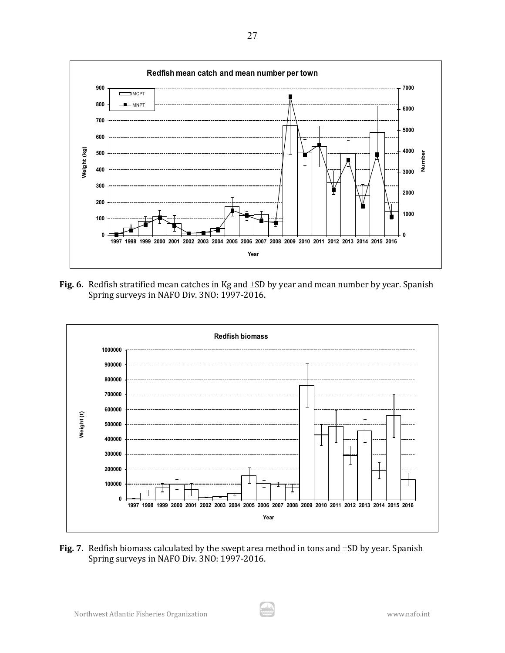

**Fig. 6.** Redfish stratified mean catches in Kg and ±SD by year and mean number by year. Spanish Spring surveys in NAFO Div. 3NO: 1997-2016.



**Fig. 7.** Redfish biomass calculated by the swept area method in tons and ±SD by year. Spanish Spring surveys in NAFO Div. 3NO: 1997-2016.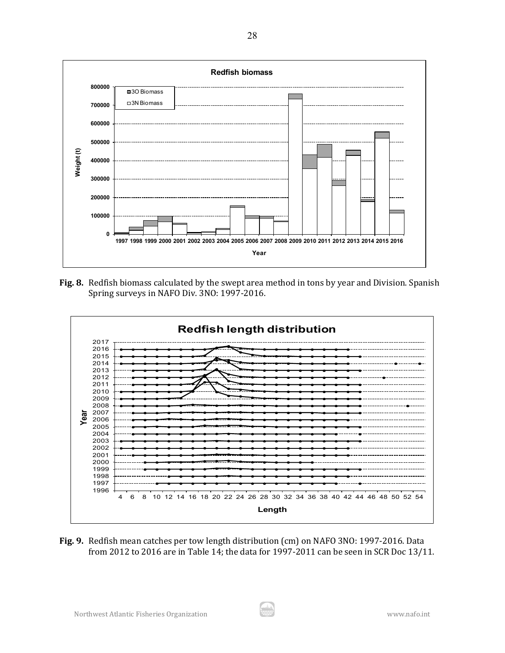

**Fig. 8.** Redfish biomass calculated by the swept area method in tons by year and Division. Spanish Spring surveys in NAFO Div. 3NO: 1997-2016.



**Fig. 9.** Redfish mean catches per tow length distribution (cm) on NAFO 3NO: 1997-2016. Data from 2012 to 2016 are in Table 14; the data for 1997-2011 can be seen in SCR Doc 13/11.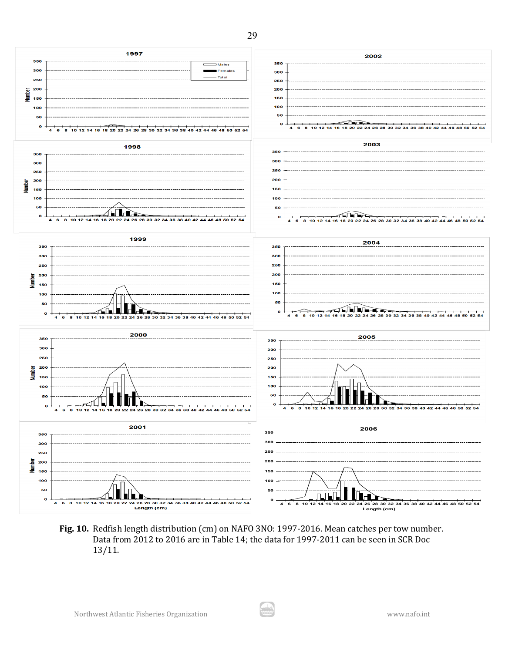$\overline{\phantom{a}}$  Males Female Total **Number**  $\ddot{\mathbf{o}}$  $\overline{A}$ 4 26 28 30 . п. н. ำค ່າາ 26.28 ່30 ່າວ **Number** ∕∩ La ≥ ≨nn  $\bullet$  $\mathbf{o}$ 10 12 14 16 18 20 22 24 26 28 30 32 34 36 38 40 42 44 46 48 50 52 54  $\begin{array}{r}\n\overline{5} & 200 \\
\overline{5} & 150\n\end{array}$ ra bha +ੇ  $\mathbf{o}$  $\bullet$  $10^{12}$ 34.36.38.40  $\ddot{\mathbf{6}}$  $\mathbf{a}$  $32<sub>2</sub>$ i an 46.48.50  $\overline{a}$  $\overline{\mathbf{a}}$ 10 12 14 16 18 20 22 24 26 28 30 32 34 36 38 40 42 44  $\overline{A}$  $\overline{AB}$  $\begin{array}{r}\n\overline{5} & 200 \\
\overline{15} & 150\n\end{array}$  $\bullet$  $\mathbf{o}$ 32 34 **Number**  П  $\Box$  $\mathbf{o}$  <br>Length (cm)  $\overline{a}$  $\overline{\mathbf{a}}$  12 14  $20^{22}$ 8 10 12 14 16 18 20 22 24 26 28 30 32 34 36 38 40 42 44 46 48 50 52 **Length (cm)**

**Fig. 10.** Redfish length distribution (cm) on NAFO 3NO: 1997-2016. Mean catches per tow number. Data from 2012 to 2016 are in Table 14; the data for 1997-2011 can be seen in SCR Doc 13/11.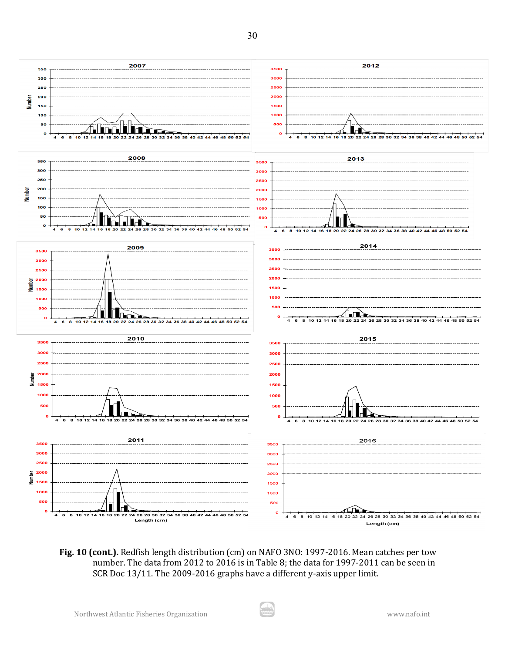

**Fig. 10 (cont.).** Redfish length distribution (cm) on NAFO 3NO: 1997-2016. Mean catches per tow number. The data from 2012 to 2016 is in Table 8; the data for 1997-2011 can be seen in SCR Doc 13/11. The 2009-2016 graphs have a different y-axis upper limit.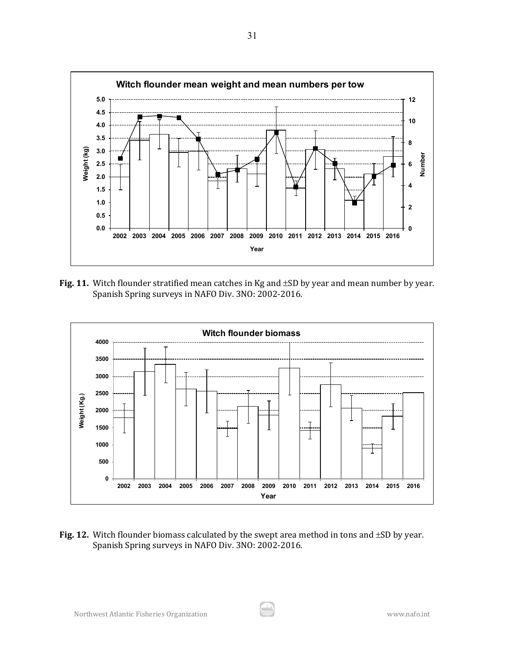

**Fig. 11.** Witch flounder stratified mean catches in Kg and ±SD by year and mean number by year. Spanish Spring surveys in NAFO Div. 3NO: 2002-2016.



**Fig. 12.** Witch flounder biomass calculated by the swept area method in tons and ±SD by year. Spanish Spring surveys in NAFO Div. 3NO: 2002-2016.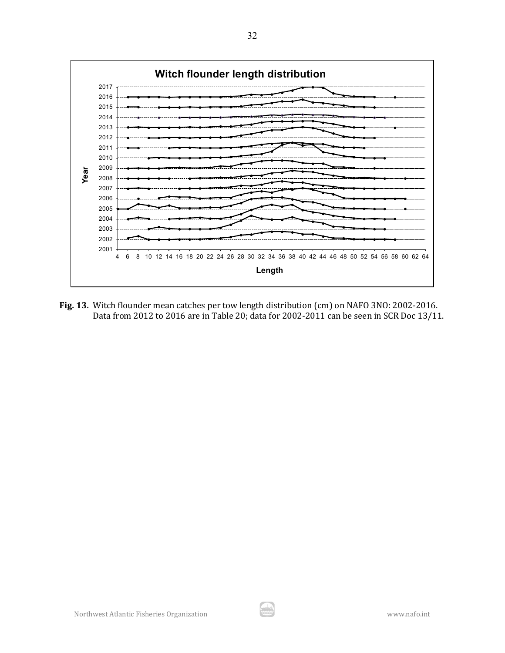

**Fig. 13.** Witch flounder mean catches per tow length distribution (cm) on NAFO 3NO: 2002-2016. Data from 2012 to 2016 are in Table 20; data for 2002-2011 can be seen in SCR Doc 13/11.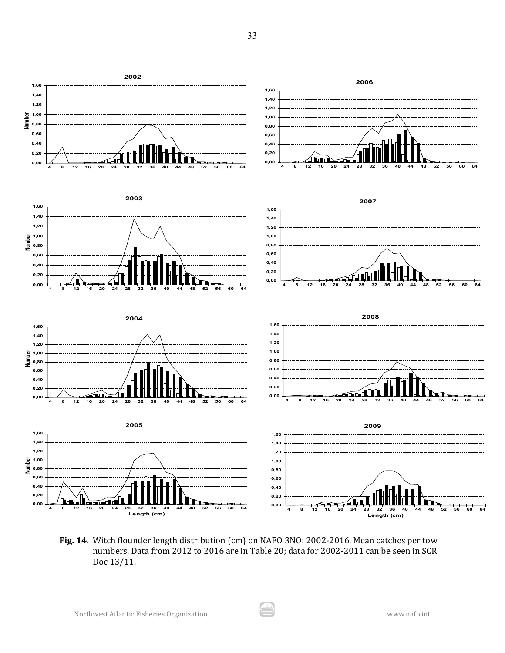

**Fig. 14.** Witch flounder length distribution (cm) on NAFO 3NO: 2002-2016. Mean catches per tow numbers. Data from 2012 to 2016 are in Table 20; data for 2002-2011 can be seen in SCR Doc 13/11.